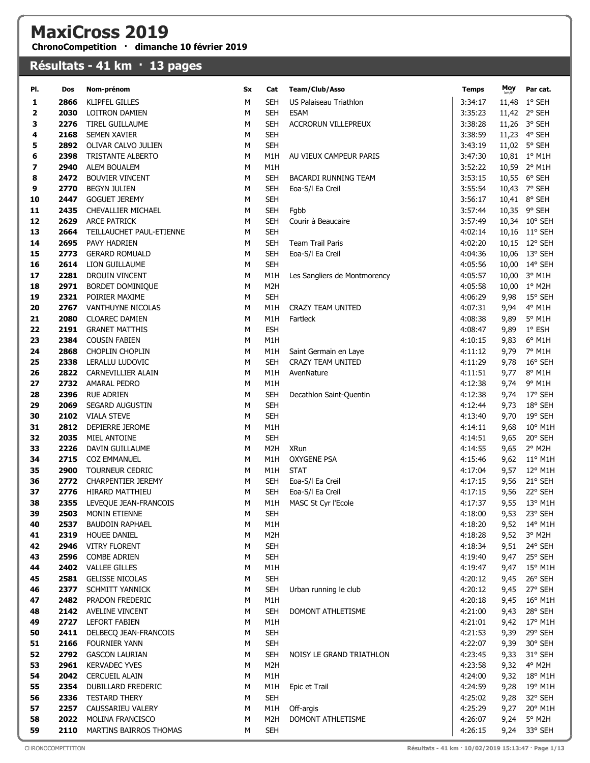## MaxiCross 2019

ChronoCompetition · dimanche 10 février 2019

## Résultats - 41 km · 13 pages

| PI.      | Dos          | Nom-prénom                                    | Sx     | Cat                      | Team/Club/Asso                             | <b>Temps</b>       | Moy<br>km/h  | Par cat.          |
|----------|--------------|-----------------------------------------------|--------|--------------------------|--------------------------------------------|--------------------|--------------|-------------------|
| 1        | 2866         | <b>KLIPFEL GILLES</b>                         | М      | <b>SEH</b>               | US Palaiseau Triathlon                     | 3:34:17            |              | 11,48 1° SEH      |
| 2        | 2030         | <b>LOITRON DAMIEN</b>                         | м      | <b>SEH</b>               | <b>ESAM</b>                                | 3:35:23            |              | 11,42 2° SEH      |
| 3        | 2276         | TIREL GUILLAUME                               | М      | <b>SEH</b>               | <b>ACCRORUN VILLEPREUX</b>                 | 3:38:28            |              | 11,26 3° SEH      |
| 4        | 2168         | <b>SEMEN XAVIER</b>                           | М      | <b>SEH</b>               |                                            | 3:38:59            |              | 11,23 4° SEH      |
| 5        | 2892         | OLIVAR CALVO JULIEN                           | М      | <b>SEH</b>               |                                            | 3:43:19            |              | 11,02 5° SEH      |
| 6        | 2398         | TRISTANTE ALBERTO                             | М      | M1H                      | AU VIEUX CAMPEUR PARIS                     | 3:47:30            |              | 10,81 1° M1H      |
| 7        | 2940         | ALEM BOUALEM                                  | М      | M1H                      |                                            | 3:52:22            |              | 10,59 2° M1H      |
| 8        | 2472         | <b>BOUVIER VINCENT</b>                        | м      | <b>SEH</b>               | <b>BACARDI RUNNING TEAM</b>                | 3:53:15            |              | 10,55 6° SEH      |
| 9        | 2770         | <b>BEGYN JULIEN</b>                           | М      | <b>SEH</b>               | Eoa-S/I Ea Creil                           | 3:55:54            |              | 10,43 7° SEH      |
| 10       | 2447         | <b>GOGUET JEREMY</b>                          | м      | <b>SEH</b>               |                                            | 3:56:17            |              | 10,41 8° SEH      |
| 11       | 2435         | CHEVALLIER MICHAEL                            | М      | <b>SEH</b>               | Fgbb                                       | 3:57:44            |              | 10,35 9° SEH      |
| 12       | 2629         | <b>ARCE PATRICK</b>                           | М      | <b>SEH</b>               | Courir à Beaucaire                         | 3:57:49            |              | 10,34 10° SEH     |
| 13       | 2664         | TEILLAUCHET PAUL-ETIENNE                      | М      | <b>SEH</b>               |                                            | 4:02:14            |              | 10,16 11° SEH     |
| 14       | 2695         | PAVY HADRIEN                                  | м      | <b>SEH</b>               | Team Trail Paris                           | 4:02:20            |              | 10,15 12° SEH     |
| 15       | 2773         | <b>GERARD ROMUALD</b>                         | М      | <b>SEH</b>               | Eoa-S/I Ea Creil                           | 4:04:36            |              | 10,06 13° SEH     |
| 16       | 2614         | LION GUILLAUME                                | М      | <b>SEH</b>               |                                            | 4:05:56            |              | 10,00 14° SEH     |
| 17       | 2281         | DROUIN VINCENT                                | М      | M1H                      | Les Sangliers de Montmorency               | 4:05:57            |              | 10,00 3° M1H      |
| 18       | 2971         | BORDET DOMINIQUE                              | М      | M <sub>2</sub> H         |                                            | 4:05:58            |              | 10,00 1° M2H      |
| 19       | 2321         | POIRIER MAXIME                                | М      | <b>SEH</b>               |                                            | 4:06:29            | 9,98         | 15° SEH           |
| 20       | 2767         | VANTHUYNE NICOLAS                             | М      | M1H                      | CRAZY TEAM UNITED                          | 4:07:31            | 9,94         | 4° M1H            |
| 21       | 2080         | <b>CLOAREC DAMIEN</b>                         | М      | M1H                      | Fartleck                                   | 4:08:38            | 9,89         | 5° M1H            |
| 22<br>23 | 2191<br>2384 | <b>GRANET MATTHIS</b>                         | М      | <b>ESH</b>               |                                            | 4:08:47            | 9,89         | $1^{\circ}$ ESH   |
| 24       | 2868         | <b>COUSIN FABIEN</b><br>CHOPLIN CHOPLIN       | М<br>М | M1H<br>M1H               |                                            | 4:10:15<br>4:11:12 | 9,83<br>9,79 | 6° M1H<br>7° M1H  |
| 25       | 2338         | LERALLU LUDOVIC                               | М      | <b>SEH</b>               | Saint Germain en Laye<br>CRAZY TEAM UNITED | 4:11:29            | 9,78         | 16° SEH           |
| 26       | 2822         | CARNEVILLIER ALAIN                            | м      | M <sub>1</sub> H         | AvenNature                                 | 4:11:51            | 9,77         | 8° M1H            |
| 27       | 2732         | AMARAL PEDRO                                  | М      | M1H                      |                                            | 4:12:38            | 9,74         | 9° M1H            |
| 28       | 2396         | <b>RUE ADRIEN</b>                             | М      | <b>SEH</b>               | Decathlon Saint-Quentin                    | 4:12:38            | 9,74         | 17° SEH           |
| 29       | 2069         | SEGARD AUGUSTIN                               | М      | <b>SEH</b>               |                                            | 4:12:44            | 9,73         | 18° SEH           |
| 30       | 2102         | <b>VIALA STEVE</b>                            | М      | <b>SEH</b>               |                                            | 4:13:40            | 9,70         | 19° SEH           |
| 31       | 2812         | DEPIERRE JEROME                               | м      | M1H                      |                                            | 4:14:11            | 9,68         | 10° M1H           |
| 32       | 2035         | MIEL ANTOINE                                  | М      | <b>SEH</b>               |                                            | 4:14:51            | 9,65         | 20° SEH           |
| 33       | 2226         | DAVIN GUILLAUME                               | М      | M <sub>2</sub> H         | XRun                                       | 4:14:55            | 9,65         | 2° M2H            |
| 34       | 2715         | <b>COZ EMMANUEL</b>                           | М      | M1H                      | <b>OXYGENE PSA</b>                         | 4:15:46            | 9,62         | $11^{\circ}$ M1H  |
| 35       | 2900         | TOURNEUR CEDRIC                               | М      | M1H                      | <b>STAT</b>                                | 4:17:04            | 9,57         | 12° M1H           |
| 36       | 2772         | <b>CHARPENTIER JEREMY</b>                     | м      | <b>SEH</b>               | Eoa-S/I Ea Creil                           | 4:17:15            | 9,56         | 21° SEH           |
| 37       | 2776         | HIRARD MATTHIEU                               | М      | <b>SEH</b>               | Eoa-S/I Ea Creil                           | 4:17:15            | 9,56         | 22° SEH           |
| 38       | 2355         | LEVEQUE JEAN-FRANCOIS                         | М      | M1H                      | MASC St Cyr l'Ecole                        | 4:17:37            | 9,55         | 13° M1H           |
| 39       |              | 2503 MONIN ETIENNE                            | М      | <b>SEH</b>               |                                            | 4:18:00            |              | 9,53 23° SEH      |
| 40       | 2537         | <b>BAUDOIN RAPHAEL</b>                        | М      | M1H                      |                                            | 4:18:20            |              | 9,52 14° M1H      |
| 41       | 2319         | <b>HOUEE DANIEL</b>                           | М      | M <sub>2</sub> H         |                                            | 4:18:28            | 9,52         | 3° M2H            |
| 42       | 2946         | <b>VITRY FLORENT</b>                          | М      | <b>SEH</b>               |                                            | 4:18:34            | 9,51         | 24° SEH           |
| 43       | 2596         | <b>COMBE ADRIEN</b>                           | М      | <b>SEH</b>               |                                            | 4:19:40            | 9,47         | 25° SEH           |
| 44       |              | 2402 VALLEE GILLES                            | М      | M1H                      |                                            | 4:19:47            | 9,47         | 15° M1H           |
| 45       |              | 2581 GELISSE NICOLAS                          | М      | <b>SEH</b>               |                                            | 4:20:12            | 9,45         | 26° SEH           |
| 46       | 2377         | <b>SCHMITT YANNICK</b>                        | М      | <b>SEH</b>               | Urban running le club                      | 4:20:12            | 9,45         | 27° SEH           |
| 47       | 2482         | PRADON FREDERIC                               | М      | M1H                      |                                            | 4:20:18            | 9,45         | 16° M1H           |
| 48       | 2142         | <b>AVELINE VINCENT</b>                        | М      | <b>SEH</b>               | DOMONT ATHLETISME                          | 4:21:00            | 9,43         | 28° SEH           |
| 49       | 2727         | <b>LEFORT FABIEN</b>                          | М      | M1H                      |                                            | 4:21:01            | 9,42         | 17° M1H           |
| 50<br>51 | 2411<br>2166 | DELBECQ JEAN-FRANCOIS<br><b>FOURNIER YANN</b> | М<br>М | <b>SEH</b><br><b>SEH</b> |                                            | 4:21:53<br>4:22:07 | 9,39         | 29° SEH           |
| 52       | 2792         | <b>GASCON LAURIAN</b>                         | м      | <b>SEH</b>               | NOISY LE GRAND TRIATHLON                   | 4:23:45            | 9,39         | 30° SEH           |
| 53       | 2961         | <b>KERVADEC YVES</b>                          | М      | M <sub>2</sub> H         |                                            | 4:23:58            | 9,33<br>9,32 | 31° SEH<br>4° M2H |
| 54       | 2042         | <b>CERCUEIL ALAIN</b>                         | М      | M1H                      |                                            | 4:24:00            | 9,32         | 18° M1H           |
| 55       | 2354         | DUBILLARD FREDERIC                            | М      | M1H                      | Epic et Trail                              | 4:24:59            | 9,28         | 19° M1H           |
| 56       | 2336         | <b>TESTARD THERY</b>                          | М      | <b>SEH</b>               |                                            | 4:25:02            | 9,28         | 32° SEH           |
| 57       | 2257         | CAUSSARIEU VALERY                             | М      | M1H                      | Off-argis                                  | 4:25:29            | 9,27         | 20° M1H           |
| 58       | 2022         | MOLINA FRANCISCO                              | М      | M <sub>2</sub> H         | DOMONT ATHLETISME                          | 4:26:07            | 9,24         | 5° M2H            |
| 59       | 2110         | MARTINS BAIRROS THOMAS                        | М      | <b>SEH</b>               |                                            | 4:26:15            | 9,24         | 33° SEH           |
|          |              |                                               |        |                          |                                            |                    |              |                   |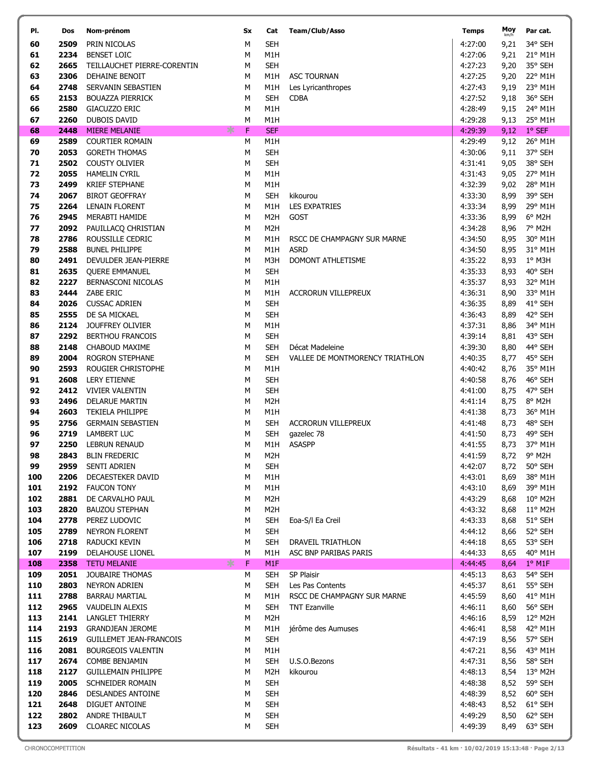| PI.        | Dos          | Nom-prénom                                     | Sx             | Cat                            | Team/Club/Asso                          | <b>Temps</b>       | Moy<br>km/h  | Par cat.               |
|------------|--------------|------------------------------------------------|----------------|--------------------------------|-----------------------------------------|--------------------|--------------|------------------------|
| 60         | 2509         | PRIN NICOLAS                                   | M              | <b>SEH</b>                     |                                         | 4:27:00            | 9,21         | 34° SEH                |
| 61         | 2234         | <b>BENSET LOIC</b>                             | М              | M1H                            |                                         | 4:27:06            | 9,21         | 21° M1H                |
| 62         | 2665         | TEILLAUCHET PIERRE-CORENTIN                    | М              | <b>SEH</b>                     |                                         | 4:27:23            | 9,20         | 35° SEH                |
| 63         | 2306         | DEHAINE BENOIT                                 | М              | M1H                            | <b>ASC TOURNAN</b>                      | 4:27:25            | 9,20         | 22° M1H                |
| 64         | 2748         | SERVANIN SEBASTIEN                             | М              | M1H                            | Les Lyricanthropes                      | 4:27:43            | 9,19         | 23° M1H                |
| 65         | 2153         | <b>BOUAZZA PIERRICK</b>                        | М              | <b>SEH</b>                     | <b>CDBA</b>                             | 4:27:52            | 9,18         | 36° SEH                |
| 66         | 2580         | GIACUZZO ERIC                                  | М              | M1H                            |                                         | 4:28:49            | 9,15         | 24° M1H                |
| 67<br>68   | 2260<br>2448 | <b>DUBOIS DAVID</b><br><b>MIERE MELANIE</b>    | М<br>氺<br>F    | M1H<br><b>SEF</b>              |                                         | 4:29:28<br>4:29:39 | 9,13<br>9,12 | 25° M1H<br>$1°$ SEF    |
| 69         | 2589         | <b>COURTIER ROMAIN</b>                         | M              | M1H                            |                                         | 4:29:49            | 9,12         | 26° M1H                |
| 70         | 2053         | <b>GORETH THOMAS</b>                           | M              | <b>SEH</b>                     |                                         | 4:30:06            | 9,11         | 37° SEH                |
| 71         | 2502         | <b>COUSTY OLIVIER</b>                          | М              | <b>SEH</b>                     |                                         | 4:31:41            | 9,05         | 38° SEH                |
| 72         | 2055         | <b>HAMELIN CYRIL</b>                           | М              | M1H                            |                                         | 4:31:43            | 9,05         | 27° M1H                |
| 73         | 2499         | <b>KRIEF STEPHANE</b>                          | M              | M1H                            |                                         | 4:32:39            | 9,02         | 28° M1H                |
| 74         | 2067         | <b>BIROT GEOFFRAY</b>                          | M              | <b>SEH</b>                     | kikourou                                | 4:33:30            | 8,99         | 39° SEH                |
| 75         | 2264         | <b>LENAIN FLORENT</b>                          | М              | M1H                            | LES EXPATRIES                           | 4:33:34            | 8,99         | 29° M1H                |
| 76         | 2945         | MERABTI HAMIDE                                 | М              | M <sub>2</sub> H               | GOST                                    | 4:33:36            | 8,99         | 6° M2H                 |
| 77         | 2092         | PAUILLACQ CHRISTIAN                            | М              | M <sub>2</sub> H               |                                         | 4:34:28            | 8,96         | 7° M2H                 |
| 78         | 2786         | ROUSSILLE CEDRIC                               | М              | M1H                            | RSCC DE CHAMPAGNY SUR MARNE             | 4:34:50            | 8,95         | 30° M1H                |
| 79<br>80   | 2588<br>2491 | <b>BUNEL PHILIPPE</b><br>DEVULDER JEAN-PIERRE  | М<br>М         | M1H<br>M3H                     | <b>ASRD</b><br><b>DOMONT ATHLETISME</b> | 4:34:50<br>4:35:22 | 8,95<br>8,93 | 31° M1H<br>$1°$ M3H    |
| 81         | 2635         | <b>OUERE EMMANUEL</b>                          | M              | <b>SEH</b>                     |                                         | 4:35:33            | 8,93         | 40° SEH                |
| 82         | 2227         | BERNASCONI NICOLAS                             | М              | M1H                            |                                         | 4:35:37            | 8,93         | 32° M1H                |
| 83         | 2444         | ZABE ERIC                                      | М              | M1H                            | <b>ACCRORUN VILLEPREUX</b>              | 4:36:31            | 8,90         | 33° M1H                |
| 84         | 2026         | <b>CUSSAC ADRIEN</b>                           | М              | <b>SEH</b>                     |                                         | 4:36:35            | 8,89         | 41° SEH                |
| 85         | 2555         | DE SA MICKAEL                                  | М              | <b>SEH</b>                     |                                         | 4:36:43            | 8,89         | 42° SEH                |
| 86         | 2124         | <b>JOUFFREY OLIVIER</b>                        | М              | M1H                            |                                         | 4:37:31            | 8,86         | 34° M1H                |
| 87         | 2292         | BERTHOU FRANCOIS                               | М              | <b>SEH</b>                     |                                         | 4:39:14            | 8,81         | 43° SEH                |
| 88         | 2148         | CHABOUD MAXIME                                 | М              | <b>SEH</b>                     | Décat Madeleine                         | 4:39:30            | 8,80         | 44° SEH                |
| 89<br>90   | 2004<br>2593 | ROGRON STEPHANE<br>ROUGIER CHRISTOPHE          | М<br>M         | <b>SEH</b><br>M1H              | VALLEE DE MONTMORENCY TRIATHLON         | 4:40:35<br>4:40:42 | 8,77<br>8,76 | 45° SEH<br>35° M1H     |
| 91         | 2608         | <b>LERY ETIENNE</b>                            | М              | <b>SEH</b>                     |                                         | 4:40:58            | 8,76         | 46° SEH                |
| 92         | 2412         | <b>VIVIER VALENTIN</b>                         | М              | <b>SEH</b>                     |                                         | 4:41:00            | 8,75         | 47° SEH                |
| 93         | 2496         | <b>DELARUE MARTIN</b>                          | М              | M <sub>2</sub> H               |                                         | 4:41:14            | 8,75         | 8° M2H                 |
| 94         | 2603         | <b>TEKIELA PHILIPPE</b>                        | М              | M1H                            |                                         | 4:41:38            | 8,73         | 36° M1H                |
| 95         | 2756         | <b>GERMAIN SEBASTIEN</b>                       | М              | <b>SEH</b>                     | <b>ACCRORUN VILLEPREUX</b>              | 4:41:48            | 8,73         | 48° SEH                |
| 96         | 2719         | <b>LAMBERT LUC</b>                             | M              | SEH                            | gazelec 78                              | 4:41:50            | 8,73         | 49° SEH                |
| 97         | 2250         | LEBRUN RENAUD                                  | М              | M1H                            | <b>ASASPP</b>                           | 4:41:55            |              | 8,73 37° M1H           |
| 98<br>99   | 2843<br>2959 | <b>BLIN FREDERIC</b><br>SENTI ADRIEN           | ${\sf M}$<br>м | M <sub>2</sub> H<br><b>SEH</b> |                                         | 4:41:59<br>4:42:07 | 8,72         | 8,72 9° M2H<br>50° SEH |
| 100        | 2206         | DECAESTEKER DAVID                              | М              | M1H                            |                                         | 4:43:01            | 8,69         | 38° M1H                |
| 101        | 2192         | <b>FAUCON TONY</b>                             | М              | M1H                            |                                         | 4:43:10            | 8,69         | 39° M1H                |
| 102        | 2881         | DE CARVALHO PAUL                               | М              | M2H                            |                                         | 4:43:29            | 8,68         | 10° M2H                |
| 103        | 2820         | <b>BAUZOU STEPHAN</b>                          | М              | M <sub>2</sub> H               |                                         | 4:43:32            | 8,68         | $11^{\circ}$ M2H       |
| 104        | 2778         | PEREZ LUDOVIC                                  | М              | <b>SEH</b>                     | Eoa-S/I Ea Creil                        | 4:43:33            | 8,68         | 51° SEH                |
| 105        | 2789         | <b>NEYRON FLORENT</b>                          | М              | <b>SEH</b>                     |                                         | 4:44:12            | 8,66         | 52° SEH                |
| 106        | 2718         | RADUCKI KEVIN                                  | М              | <b>SEH</b>                     | DRAVEIL TRIATHLON                       | 4:44:18            | 8,65         | 53° SEH                |
| 107<br>108 | 2199<br>2358 | <b>DELAHOUSE LIONEL</b><br><b>TETU MELANIE</b> | М<br>∗<br>F    | M1H<br>M <sub>1F</sub>         | ASC BNP PARIBAS PARIS                   | 4:44:33<br>4:44:45 | 8,65<br>8,64 | 40° M1H<br>$1°$ M1F    |
| 109        | 2051         | JOUBAIRE THOMAS                                | М              | <b>SEH</b>                     | SP Plaisir                              | 4:45:13            | 8,63         | 54° SEH                |
| 110        | 2803         | <b>NEYRON ADRIEN</b>                           | М              | SEH                            | Les Pas Contents                        | 4:45:37            | 8,61         | 55° SEH                |
| 111        | 2788         | <b>BARRAU MARTIAL</b>                          | М              | M1H                            | RSCC DE CHAMPAGNY SUR MARNE             | 4:45:59            | 8,60         | 41° M1H                |
| 112        | 2965         | VAUDELIN ALEXIS                                | М              | SEH                            | <b>TNT Ezanville</b>                    | 4:46:11            | 8,60         | 56° SEH                |
| 113        | 2141         | <b>LANGLET THIERRY</b>                         | М              | M <sub>2</sub> H               |                                         | 4:46:16            | 8,59         | 12° M2H                |
| 114        | 2193         | <b>GRANDJEAN JEROME</b>                        | М              | M1H                            | jérôme des Aumuses                      | 4:46:41            | 8,58         | 42° M1H                |
| 115        | 2619         | GUILLEMET JEAN-FRANCOIS                        | м              | <b>SEH</b>                     |                                         | 4:47:19            | 8,56         | 57° SEH                |
| 116<br>117 | 2081<br>2674 | <b>BOURGEOIS VALENTIN</b><br>COMBE BENJAMIN    | м<br>М         | M1H<br><b>SEH</b>              | U.S.O.Bezons                            | 4:47:21<br>4:47:31 | 8,56<br>8,56 | 43° M1H<br>58° SEH     |
| 118        | 2127         | <b>GUILLEMAIN PHILIPPE</b>                     | М              | M2H                            | kikourou                                | 4:48:13            | 8,54         | 13° M2H                |
| 119        | 2005         | SCHNEIDER ROMAIN                               | М              | <b>SEH</b>                     |                                         | 4:48:38            | 8,52         | 59° SEH                |
| 120        | 2846         | <b>DESLANDES ANTOINE</b>                       | М              | <b>SEH</b>                     |                                         | 4:48:39            | 8,52         | 60° SEH                |
| 121        | 2648         | DIGUET ANTOINE                                 | М              | <b>SEH</b>                     |                                         | 4:48:43            | 8,52         | 61° SEH                |
| 122        | 2802         | ANDRE THIBAULT                                 | М              | <b>SEH</b>                     |                                         | 4:49:29            | 8,50         | 62° SEH                |
| 123        | 2609         | CLOAREC NICOLAS                                | М              | <b>SEH</b>                     |                                         | 4:49:39            | 8,49         | 63° SEH                |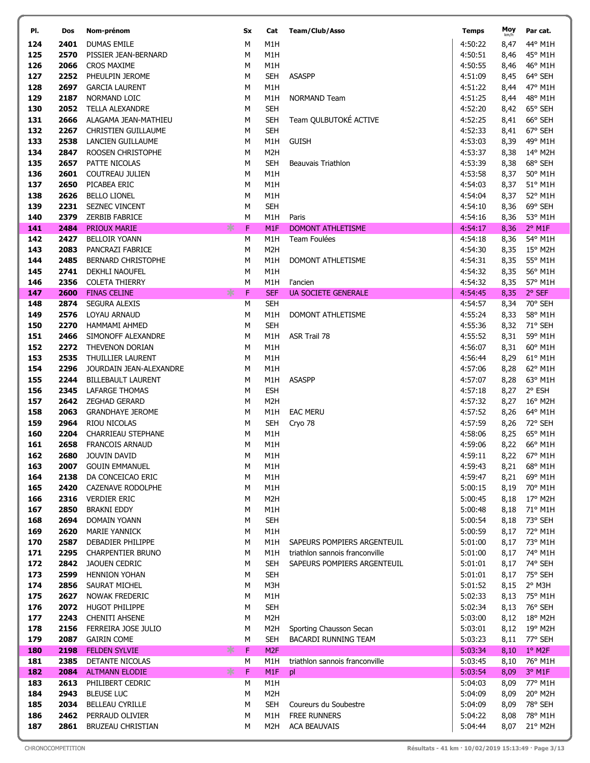| PI.        | Dos          | Nom-prénom                              | Sx     | Cat                            | Team/Club/Asso                 | <b>Temps</b>       | Moy<br>km/h  | Par cat.           |
|------------|--------------|-----------------------------------------|--------|--------------------------------|--------------------------------|--------------------|--------------|--------------------|
| 124        | 2401         | <b>DUMAS EMILE</b>                      | М      | M1H                            |                                | 4:50:22            | 8,47         | 44° M1H            |
| 125        | 2570         | PISSIER JEAN-BERNARD                    | М      | M1H                            |                                | 4:50:51            | 8,46         | 45° M1H            |
| 126        | 2066         | <b>CROS MAXIME</b>                      | М      | M1H                            |                                | 4:50:55            | 8,46         | 46° M1H            |
| 127        | 2252         | PHEULPIN JEROME                         | М      | <b>SEH</b>                     | <b>ASASPP</b>                  | 4:51:09            | 8,45         | 64° SEH            |
| 128        | 2697         | <b>GARCIA LAURENT</b>                   | М      | M1H                            |                                | 4:51:22            | 8,44         | 47° M1H            |
| 129        | 2187         | NORMAND LOIC                            | М      | M1H                            | NORMAND Team                   | 4:51:25            | 8,44         | 48° M1H            |
| 130        | 2052         | <b>TELLA ALEXANDRE</b>                  | M      | <b>SEH</b>                     |                                | 4:52:20            | 8,42         | 65° SEH            |
| 131        | 2666         | ALAGAMA JEAN-MATHIEU                    | М      | <b>SEH</b>                     | Team QULBUTOKÉ ACTIVE          | 4:52:25            | 8,41         | 66° SEH            |
| 132        | 2267         | <b>CHRISTIEN GUILLAUME</b>              | M      | <b>SEH</b>                     |                                | 4:52:33            | 8,41         | 67° SEH            |
| 133        | 2538         | LANCIEN GUILLAUME                       | М      | M1H                            | <b>GUISH</b>                   | 4:53:03            | 8,39         | 49° M1H            |
| 134        | 2847         | ROOSEN CHRISTOPHE                       | М      | M <sub>2</sub> H               |                                | 4:53:37            | 8,38         | 14° M2H            |
| 135        | 2657         | PATTE NICOLAS                           | М      | <b>SEH</b>                     | Beauvais Triathlon             | 4:53:39            | 8,38         | 68° SEH            |
| 136        | 2601         | COUTREAU JULIEN                         | М      | M1H                            |                                | 4:53:58            | 8,37         | 50° M1H            |
| 137        | 2650         | PICABEA ERIC                            | М      | M1H                            |                                | 4:54:03            | 8,37         | 51° M1H            |
| 138        | 2626         | <b>BELLO LIONEL</b>                     | М      | M1H                            |                                | 4:54:04            | 8,37         | 52° M1H            |
| 139        | 2231         | SEZNEC VINCENT                          | М      | <b>SEH</b>                     |                                | 4:54:10            | 8,36         | 69° SEH            |
| 140        | 2379         | <b>ZERBIB FABRICE</b>                   | М      | M1H                            | Paris                          | 4:54:16            | 8,36         | 53° M1H            |
| 141        | 2484         | ∗<br><b>PRIOUX MARIE</b>                | F      | M <sub>1F</sub>                | <b>DOMONT ATHLETISME</b>       | 4:54:17            | 8,36         | $2°$ M1F           |
| 142        | 2427         | <b>BELLOIR YOANN</b>                    | М      | M1H                            | Team Foulées                   | 4:54:18            | 8,36         | 54° M1H            |
| 143        | 2083         | PANCRAZI FABRICE                        | M      | M <sub>2</sub> H               |                                | 4:54:30            | 8,35         | 15° M2H            |
| 144        | 2485         | <b>BERNARD CHRISTOPHE</b>               | М      | M1H                            | DOMONT ATHLETISME              | 4:54:31            | 8,35         | 55° M1H            |
| 145        | 2741         | <b>DEKHLI NAOUFEL</b>                   | М      | M1H                            |                                | 4:54:32            | 8,35         | 56° M1H            |
| 146        | 2356         | <b>COLETA THIERRY</b>                   | М      | M1H                            | l'ancien                       | 4:54:32            | 8,35         | 57° M1H            |
| 147        | 2600         | 氺<br><b>FINAS CELINE</b>                | F      | <b>SEF</b>                     | <b>UA SOCIETE GENERALE</b>     | 4:54:45            | 8,35         | 2° SEF             |
| 148        | 2874         | <b>SEGURA ALEXIS</b>                    | М      | <b>SEH</b>                     |                                | 4:54:57            | 8,34         | 70° SEH            |
| 149        | 2576         | LOYAU ARNAUD                            | М      | M1H                            | DOMONT ATHLETISME              | 4:55:24            | 8,33         | 58° M1H            |
| 150        | 2270         | <b>HAMMAMI AHMED</b>                    | М      | <b>SEH</b>                     |                                | 4:55:36            | 8,32         | 71° SEH            |
| 151        | 2466         | SIMONOFF ALEXANDRE                      | M      | M1H                            | ASR Trail 78                   | 4:55:52            | 8,31         | 59° M1H            |
| 152        | 2272         | THEVENON DORIAN                         | М      | M1H                            |                                | 4:56:07            | 8,31         | 60° M1H            |
| 153        | 2535         | THUILLIER LAURENT                       | М      | M1H                            |                                | 4:56:44            | 8,29         | 61° M1H            |
| 154        | 2296         | JOURDAIN JEAN-ALEXANDRE                 | М      | M1H                            |                                | 4:57:06            | 8,28         | 62° M1H            |
| 155        | 2244         | <b>BILLEBAULT LAURENT</b>               | М      | M1H                            | <b>ASASPP</b>                  | 4:57:07            | 8,28         | 63° M1H            |
| 156<br>157 | 2345         | <b>LAFARGE THOMAS</b>                   | М      | <b>ESH</b><br>M <sub>2</sub> H |                                | 4:57:18            | 8,27         | 2° ESH<br>16° M2H  |
|            | 2642<br>2063 | ZEGHAD GERARD                           | М      |                                |                                | 4:57:32<br>4:57:52 | 8,27         |                    |
| 158<br>159 | 2964         | <b>GRANDHAYE JEROME</b><br>RIOU NICOLAS | М<br>М | M1H<br><b>SEH</b>              | <b>EAC MERU</b><br>Cryo 78     | 4:57:59            | 8,26<br>8,26 | 64° M1H<br>72° SEH |
| 160        | 2204         | CHARRIEAU STEPHANE                      | М      | M1H                            |                                | 4:58:06            | 8,25         | 65° M1H            |
| 161        | 2658         | <b>FRANCOIS ARNAUD</b>                  | М      | M1H                            |                                | 4:59:06            |              | 8,22 66° M1H       |
| 162        |              | 2680 JOUVIN DAVID                       | М      | M1H                            |                                | 4:59:11            |              | 8,22 67° M1H       |
| 163        | 2007         | <b>GOUIN EMMANUEL</b>                   | М      | M1H                            |                                | 4:59:43            | 8,21         | 68° M1H            |
| 164        | 2138         | DA CONCEICAO ERIC                       | М      | M1H                            |                                | 4:59:47            | 8,21         | 69° M1H            |
| 165        | 2420         | CAZENAVE RODOLPHE                       | М      | M1H                            |                                | 5:00:15            | 8,19         | 70° M1H            |
| 166        | 2316         | <b>VERDIER ERIC</b>                     | М      | M <sub>2</sub> H               |                                | 5:00:45            | 8,18         | 17° M2H            |
| 167        | 2850         | <b>BRAKNI EDDY</b>                      | М      | M1H                            |                                | 5:00:48            | 8,18         | 71° M1H            |
| 168        | 2694         | <b>DOMAIN YOANN</b>                     | М      | <b>SEH</b>                     |                                | 5:00:54            | 8,18         | 73° SEH            |
| 169        | 2620         | <b>MARIE YANNICK</b>                    | М      | M1H                            |                                | 5:00:59            | 8,17         | 72° M1H            |
| 170        | 2587         | DEBADIER PHILIPPE                       | М      | M1H                            | SAPEURS POMPIERS ARGENTEUIL    | 5:01:00            | 8,17         | 73° M1H            |
| 171        | 2295         | <b>CHARPENTIER BRUNO</b>                | М      | M1H                            | triathlon sannois franconville | 5:01:00            | 8,17         | 74° M1H            |
| 172        | 2842         | <b>JAOUEN CEDRIC</b>                    | М      | <b>SEH</b>                     | SAPEURS POMPIERS ARGENTEUIL    | 5:01:01            | 8,17         | 74° SEH            |
| 173        | 2599         | <b>HENNION YOHAN</b>                    | М      | <b>SEH</b>                     |                                | 5:01:01            | 8,17         | 75° SEH            |
| 174        | 2856         | SAURAT MICHEL                           | М      | M3H                            |                                | 5:01:52            | 8,15         | $2^{\circ}$ M3H    |
| 175        | 2627         | <b>NOWAK FREDERIC</b>                   | М      | M1H                            |                                | 5:02:33            | 8,13         | 75° M1H            |
| 176        | 2072         | <b>HUGOT PHILIPPE</b>                   | М      | <b>SEH</b>                     |                                | 5:02:34            | 8,13         | 76° SEH            |
| 177        | 2243         | <b>CHENITI AHSENE</b>                   | М      | M <sub>2</sub> H               |                                | 5:03:00            | 8,12         | 18° M2H            |
| 178        | 2156         | FERREIRA JOSE JULIO                     | М      | M2H                            | Sporting Chausson Secan        | 5:03:01            | 8,12         | 19° M2H            |
| 179        | 2087         | <b>GAIRIN COME</b>                      | М      | <b>SEH</b>                     | <b>BACARDI RUNNING TEAM</b>    | 5:03:23            | 8,11         | 77° SEH            |
| 180        | 2198         | ∗<br><b>FELDEN SYLVIE</b>               | F      | M <sub>2F</sub>                |                                | 5:03:34            | 8,10         | $1°$ M2F           |
| 181        | 2385         | DETANTE NICOLAS                         | М      | M1H                            | triathlon sannois franconville | 5:03:45            | 8,10         | 76° M1H            |
| 182        | 2084         | ∗<br><b>ALTMANN ELODIE</b>              | F      | M <sub>1F</sub>                | pl                             | 5:03:54            | 8,09         | 3° M1F             |
| 183        | 2613         | PHILIBERT CEDRIC                        | М      | M1H                            |                                | 5:04:03            | 8,09         | 77° M1H            |
| 184        | 2943         | <b>BLEUSE LUC</b>                       | М      | M <sub>2</sub> H               |                                | 5:04:09            | 8,09         | 20° M2H            |
| 185        | 2034         | <b>BELLEAU CYRILLE</b>                  | М      | <b>SEH</b>                     | Coureurs du Soubestre          | 5:04:09            | 8,09         | 78° SEH            |
| 186        | 2462         | PERRAUD OLIVIER                         | М      | M1H                            | <b>FREE RUNNERS</b>            | 5:04:22            | 8,08         | 78° M1H            |
| 187        | 2861         | <b>BRUZEAU CHRISTIAN</b>                | М      | M2H                            | <b>ACA BEAUVAIS</b>            | 5:04:44            | 8,07         | 21° M2H            |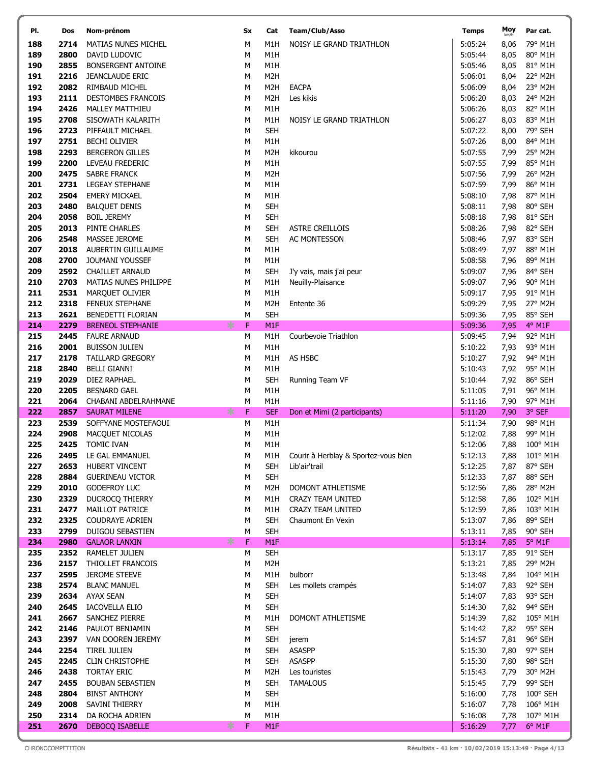| PI.        | Dos          | Nom-prénom                                      | <b>Sx</b> | Cat                      | Team/Club/Asso                         | <b>Temps</b>       | Moy<br>km/h  | Par cat.            |
|------------|--------------|-------------------------------------------------|-----------|--------------------------|----------------------------------------|--------------------|--------------|---------------------|
| 188        | 2714         | <b>MATIAS NUNES MICHEL</b>                      | M         | M1H                      | NOISY LE GRAND TRIATHLON               | 5:05:24            | 8,06         | 79° M1H             |
| 189        | 2800         | DAVID LUDOVIC                                   | M         | M1H                      |                                        | 5:05:44            | 8,05         | 80° M1H             |
| 190        | 2855         | <b>BONSERGENT ANTOINE</b>                       | М         | M1H                      |                                        | 5:05:46            | 8,05         | 81° M1H             |
| 191        | 2216         | <b>JEANCLAUDE ERIC</b>                          | M         | M <sub>2</sub> H         |                                        | 5:06:01            | 8,04         | 22° M2H             |
| 192        | 2082         | RIMBAUD MICHEL                                  | M         | M <sub>2</sub> H         | <b>EACPA</b>                           | 5:06:09            | 8,04         | 23° M2H             |
| 193        | 2111         | DESTOMBES FRANCOIS                              | M         | M <sub>2</sub> H         | Les kikis                              | 5:06:20            | 8,03         | 24° M2H             |
| 194        | 2426         | <b>MALLEY MATTHIEU</b>                          | М         | M1H                      |                                        | 5:06:26            | 8,03         | 82° M1H             |
| 195        | 2708         | SISOWATH KALARITH                               | M         | M1H                      | NOISY LE GRAND TRIATHLON               | 5:06:27            | 8,03         | 83° M1H             |
| 196        | 2723         | PIFFAULT MICHAEL                                | M         | <b>SEH</b>               |                                        | 5:07:22            | 8,00         | 79° SEH             |
| 197        | 2751         | <b>BECHI OLIVIER</b>                            | M         | M1H                      |                                        | 5:07:26            | 8,00         | 84° M1H             |
| 198        | 2293         | <b>BERGERON GILLES</b>                          | М         | M <sub>2</sub> H         | kikourou                               | 5:07:55            | 7,99         | 25° M2H             |
| 199<br>200 | 2200<br>2475 | LEVEAU FREDERIC<br><b>SABRE FRANCK</b>          | М<br>М    | M1H<br>M <sub>2</sub> H  |                                        | 5:07:55<br>5:07:56 | 7,99<br>7,99 | 85° M1H<br>26° M2H  |
| 201        | 2731         | <b>LEGEAY STEPHANE</b>                          | М         | M1H                      |                                        | 5:07:59            | 7,99         | 86° M1H             |
| 202        | 2504         | <b>EMERY MICKAEL</b>                            | М         | M1H                      |                                        | 5:08:10            | 7,98         | 87° M1H             |
| 203        | 2480         | <b>BALQUET DENIS</b>                            | М         | <b>SEH</b>               |                                        | 5:08:11            | 7,98         | 80° SEH             |
| 204        | 2058         | <b>BOIL JEREMY</b>                              | М         | <b>SEH</b>               |                                        | 5:08:18            | 7,98         | 81° SEH             |
| 205        | 2013         | PINTE CHARLES                                   | M         | <b>SEH</b>               | ASTRE CREILLOIS                        | 5:08:26            | 7,98         | 82° SEH             |
| 206        | 2548         | <b>MASSEE JEROME</b>                            | М         | <b>SEH</b>               | <b>AC MONTESSON</b>                    | 5:08:46            | 7,97         | 83° SEH             |
| 207        | 2018         | AUBERTIN GUILLAUME                              | М         | M1H                      |                                        | 5:08:49            | 7,97         | 88° M1H             |
| 208        | 2700         | JOUMANI YOUSSEF                                 | М         | M1H                      |                                        | 5:08:58            | 7,96         | 89° M1H             |
| 209        | 2592         | <b>CHAILLET ARNAUD</b>                          | M         | <b>SEH</b>               | J'y vais, mais j'ai peur               | 5:09:07            | 7,96         | 84° SEH             |
| 210        | 2703         | MATIAS NUNES PHILIPPE                           | М         | M1H                      | Neuilly-Plaisance                      | 5:09:07            | 7,96         | 90° M1H             |
| 211        | 2531         | MARQUET OLIVIER                                 | M         | M1H                      |                                        | 5:09:17            | 7,95         | 91° M1H             |
| 212        | 2318         | <b>FENEUX STEPHANE</b>                          | М         | M <sub>2</sub> H         | Entente 36                             | 5:09:29            | 7,95         | 27° M2H             |
| 213        | 2621         | BENEDETTI FLORIAN                               | M         | <b>SEH</b>               |                                        | 5:09:36            | 7,95         | 85° SEH             |
| 214        | 2279         | <b>BRENEOL STEPHANIE</b>                        | ∗<br>F    | M <sub>1F</sub>          |                                        | 5:09:36            | 7,95         | 4° M1F              |
| 215        | 2445         | <b>FAURE ARNAUD</b>                             | М         | M1H                      | Courbevoie Triathlon                   | 5:09:45            | 7,94         | 92° M1H             |
| 216        | 2001<br>2178 | <b>BUISSON JULIEN</b>                           | М         | M1H                      |                                        | 5:10:22            | 7,93         | 93° M1H             |
| 217<br>218 | 2840         | TAILLARD GREGORY<br><b>BELLI GIANNI</b>         | M<br>М    | M1H<br>M1H               | AS HSBC                                | 5:10:27<br>5:10:43 | 7,92<br>7,92 | 94° M1H<br>95° M1H  |
| 219        | 2029         | DIEZ RAPHAEL                                    | M         | <b>SEH</b>               | Running Team VF                        | 5:10:44            | 7,92         | 86° SEH             |
| 220        | 2205         | <b>BESNARD GAEL</b>                             | М         | M1H                      |                                        | 5:11:05            | 7,91         | 96° M1H             |
| 221        | 2064         | CHABANI ABDELRAHMANE                            | М         | M1H                      |                                        | 5:11:16            | 7,90         | 97° M1H             |
| 222        | 2857         | <b>SAURAT MILENE</b>                            | ∗<br>F    | <b>SEF</b>               | Don et Mimi (2 participants)           | 5:11:20            | 7,90         | 3° SEF              |
| 223        | 2539         | SOFFYANE MOSTEFAOUI                             | М         | M1H                      |                                        | 5:11:34            | 7,90         | 98° M1H             |
| 224        | 2908         | MACQUET NICOLAS                                 | М         | M1H                      |                                        | 5:12:02            | 7,88         | 99° M1H             |
| 225        | 2425         | TOMIC IVAN                                      | М         | M1H                      |                                        | 5:12:06            | 7,88         | 100° M1H            |
| 226        |              | 2495 LE GAL EMMANUEL                            | М         | M1H                      | Courir à Herblay & Sportez-vous bien   | 5:12:13            |              | 7,88 101° M1H       |
| 227        | 2653         | HUBERT VINCENT                                  | М         | <b>SEH</b>               | Lib'air'trail                          | 5:12:25            | 7,87         | 87° SEH             |
| 228        | 2884         | <b>GUERINEAU VICTOR</b>                         | М         | <b>SEH</b>               |                                        | 5:12:33            | 7,87         | 88° SEH             |
| 229        | 2010         | <b>GODEFROY LUC</b>                             | М         | M <sub>2</sub> H         | DOMONT ATHLETISME                      | 5:12:56            | 7,86         | 28° M2H             |
| 230        | 2329         | DUCROCQ THIERRY                                 | м         | M1H                      | CRAZY TEAM UNITED                      | 5:12:58            | 7,86         | 102° M1H            |
| 231        | 2477         | MAILLOT PATRICE                                 | М         | M1H                      | CRAZY TEAM UNITED<br>Chaumont En Vexin | 5:12:59            | 7,86         | 103° M1H            |
| 232<br>233 | 2325<br>2799 | <b>COUDRAYE ADRIEN</b><br>DUIGOU SEBASTIEN      | М<br>М    | <b>SEH</b><br><b>SEH</b> |                                        | 5:13:07<br>5:13:11 | 7,86<br>7,85 | 89° SEH<br>90° SEH  |
| 234        | 2980         | <b>GALAOR LANXIN</b>                            | ∗<br>F    | M1F                      |                                        | 5:13:14            | 7,85         | $5^\circ$ M1F       |
| 235        | 2352         | RAMELET JULIEN                                  | М         | <b>SEH</b>               |                                        | 5:13:17            | 7,85         | 91° SEH             |
| 236        | 2157         | THIOLLET FRANCOIS                               | М         | M <sub>2</sub> H         |                                        | 5:13:21            | 7,85         | 29° M2H             |
| 237        | 2595         | <b>JEROME STEEVE</b>                            | М         | M1H                      | bulborr                                | 5:13:48            | 7,84         | 104° M1H            |
| 238        | 2574         | <b>BLANC MANUEL</b>                             | М         | <b>SEH</b>               | Les mollets crampés                    | 5:14:07            | 7,83         | 92° SEH             |
| 239        | 2634         | AYAX SEAN                                       | М         | <b>SEH</b>               |                                        | 5:14:07            | 7,83         | 93° SEH             |
| 240        | 2645         | IACOVELLA ELIO                                  | М         | <b>SEH</b>               |                                        | 5:14:30            | 7,82         | 94° SEH             |
| 241        | 2667         | SANCHEZ PIERRE                                  | М         | M1H                      | DOMONT ATHLETISME                      | 5:14:39            | 7,82         | 105° M1H            |
| 242        | 2146         | PAULOT BENJAMIN                                 | М         | <b>SEH</b>               |                                        | 5:14:42            | 7,82         | 95° SEH             |
| 243        | 2397         | VAN DOOREN JEREMY                               | м         | <b>SEH</b>               | jerem                                  | 5:14:57            | 7,81         | 96° SEH             |
| 244        | 2254         | TIREL JULIEN                                    | М         | <b>SEH</b>               | <b>ASASPP</b>                          | 5:15:30            | 7,80         | 97° SEH             |
| 245        | 2245         | <b>CLIN CHRISTOPHE</b>                          | М         | <b>SEH</b>               | <b>ASASPP</b>                          | 5:15:30            | 7,80         | 98° SEH             |
| 246        | 2438         | <b>TORTAY ERIC</b>                              | М         | M2H                      | Les touristes                          | 5:15:43            | 7,79         | 30° M2H             |
| 247<br>248 | 2455<br>2804 | <b>BOUBAN SEBASTIEN</b><br><b>BINST ANTHONY</b> | М<br>М    | <b>SEH</b><br><b>SEH</b> | <b>TAMALOUS</b>                        | 5:15:45<br>5:16:00 | 7,79<br>7,78 | 99° SEH<br>100° SEH |
| 249        | 2008         | SAVINI THIERRY                                  | М         | M1H                      |                                        | 5:16:07            | 7,78         | 106° M1H            |
| 250        | 2314         | DA ROCHA ADRIEN                                 | м         | M1H                      |                                        | 5:16:08            | 7,78         | 107° M1H            |
| 251        | 2670         | <b>DEBOCQ ISABELLE</b>                          | ∗<br>F    | M <sub>1F</sub>          |                                        | 5:16:29            | 7,77         | 6° M1F              |
|            |              |                                                 |           |                          |                                        |                    |              |                     |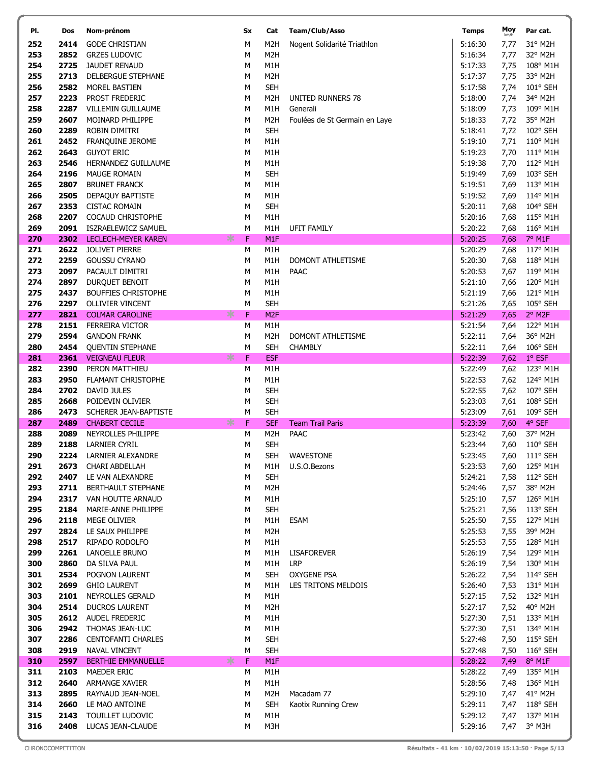| PI.        | Dos          | Nom-prénom                                | Sx     | Cat                     | Team/Club/Asso                   | <b>Temps</b>       | Moy<br>km/h  | Par cat.                  |
|------------|--------------|-------------------------------------------|--------|-------------------------|----------------------------------|--------------------|--------------|---------------------------|
| 252        | 2414         | <b>GODE CHRISTIAN</b>                     | M      | M2H                     | Nogent Solidarité Triathlon      | 5:16:30            | 7,77         | 31° M2H                   |
| 253        | 2852         | <b>GRZES LUDOVIC</b>                      | M      | M <sub>2</sub> H        |                                  | 5:16:34            | 7,77         | 32° M2H                   |
| 254        | 2725         | <b>JAUDET RENAUD</b>                      | М      | M1H                     |                                  | 5:17:33            | 7,75         | 108° M1H                  |
| 255        | 2713         | DELBERGUE STEPHANE                        | М      | M <sub>2</sub> H        |                                  | 5:17:37            | 7,75         | 33° M2H                   |
| 256        | 2582         | MOREL BASTIEN                             | M      | <b>SEH</b>              |                                  | 5:17:58            | 7,74         | $101^{\circ}$ SEH         |
| 257        | 2223         | PROST FREDERIC                            | M      | M <sub>2</sub> H        | UNITED RUNNERS 78                | 5:18:00            | 7,74         | 34° M2H                   |
| 258        | 2287         | VILLEMIN GUILLAUME                        | М      | M1H                     | Generali                         | 5:18:09            | 7,73         | 109° M1H                  |
| 259        | 2607         | MOINARD PHILIPPE                          | М      | M <sub>2</sub> H        | Foulées de St Germain en Laye    | 5:18:33            | 7,72         | 35° M2H                   |
| 260        | 2289         | ROBIN DIMITRI                             | M      | <b>SEH</b>              |                                  | 5:18:41            | 7,72         | 102° SEH                  |
| 261        | 2452<br>2643 | FRANQUINE JEROME                          | M      | M1H<br>M1H              |                                  | 5:19:10<br>5:19:23 | 7,71         | 110° M1H<br>111° M1H      |
| 262        | 2546         | <b>GUYOT ERIC</b>                         | М      |                         |                                  | 5:19:38            | 7,70         |                           |
| 263<br>264 | 2196         | HERNANDEZ GUILLAUME<br>MAUGE ROMAIN       | М<br>М | M1H<br><b>SEH</b>       |                                  | 5:19:49            | 7,70<br>7,69 | 112° M1H<br>103° SEH      |
| 265        | 2807         | <b>BRUNET FRANCK</b>                      | M      | M1H                     |                                  | 5:19:51            | 7,69         | 113° M1H                  |
| 266        | 2505         | DEPAQUY BAPTISTE                          | М      | M1H                     |                                  | 5:19:52            | 7,69         | 114° M1H                  |
| 267        | 2353         | <b>CISTAC ROMAIN</b>                      | М      | <b>SEH</b>              |                                  | 5:20:11            | 7,68         | 104° SEH                  |
| 268        | 2207         | COCAUD CHRISTOPHE                         | М      | M1H                     |                                  | 5:20:16            | 7,68         | 115° M1H                  |
| 269        | 2091         | ISZRAELEWICZ SAMUEL                       | M      | M1H                     | <b>UFIT FAMILY</b>               | 5:20:22            | 7,68         | 116° M1H                  |
| 270        | 2302         | LECLECH-MEYER KAREN                       | ∗<br>F | M <sub>1F</sub>         |                                  | 5:20:25            | 7,68         | 7° M1F                    |
| 271        | 2622         | <b>JOLIVET PIERRE</b>                     | М      | M1H                     |                                  | 5:20:29            | 7,68         | 117° M1H                  |
| 272        | 2259         | <b>GOUSSU CYRANO</b>                      | М      | M1H                     | DOMONT ATHLETISME                | 5:20:30            | 7,68         | 118° M1H                  |
| 273        | 2097         | PACAULT DIMITRI                           | M      | M1H                     | <b>PAAC</b>                      | 5:20:53            | 7,67         | 119° M1H                  |
| 274        | 2897         | DURQUET BENOIT                            | М      | M1H                     |                                  | 5:21:10            | 7,66         | 120° M1H                  |
| 275        | 2437         | <b>BOUFFIES CHRISTOPHE</b>                | М      | M1H                     |                                  | 5:21:19            | 7,66         | 121° M1H                  |
| 276        | 2297         | <b>OLLIVIER VINCENT</b>                   | M      | <b>SEH</b>              |                                  | 5:21:26            | 7,65         | 105° SEH                  |
| 277        | 2821         | <b>COLMAR CAROLINE</b>                    | ∗<br>F | M <sub>2F</sub>         |                                  | 5:21:29            | 7,65         | 2° M2F                    |
| 278<br>279 | 2151<br>2594 | FERREIRA VICTOR<br><b>GANDON FRANK</b>    | М<br>М | M1H<br>M <sub>2</sub> H | DOMONT ATHLETISME                | 5:21:54<br>5:22:11 | 7,64<br>7,64 | 122° M1H<br>36° M2H       |
| 280        | 2454         | <b>QUENTIN STEPHANE</b>                   | М      | <b>SEH</b>              | <b>CHAMBLY</b>                   | 5:22:11            | 7,64         | 106° SEH                  |
| 281        | 2361         | <b>VEIGNEAU FLEUR</b>                     | ∗<br>F | <b>ESF</b>              |                                  | 5:22:39            | 7,62         | $1°$ ESF                  |
| 282        | 2390         | PERON MATTHIEU                            | М      | M1H                     |                                  | 5:22:49            | 7,62         | 123° M1H                  |
| 283        | 2950         | FLAMANT CHRISTOPHE                        | М      | M1H                     |                                  | 5:22:53            | 7,62         | 124° M1H                  |
| 284        | 2702         | DAVID JULES                               | М      | <b>SEH</b>              |                                  | 5:22:55            | 7,62         | 107° SEH                  |
| 285        | 2668         | POIDEVIN OLIVIER                          | M      | <b>SEH</b>              |                                  | 5:23:03            | 7,61         | 108° SEH                  |
| 286        | 2473         | SCHERER JEAN-BAPTISTE                     | М      | <b>SEH</b>              |                                  | 5:23:09            | 7,61         | 109° SEH                  |
| 287        | 2489         | <b>CHABERT CECILE</b>                     | ∗<br>F | <b>SEF</b>              | <b>Team Trail Paris</b>          | 5:23:39            | 7,60         | 4° SEF                    |
| 288        | 2089         | NEYROLLES PHILIPPE                        | М      | M <sub>2</sub> H        | <b>PAAC</b>                      | 5:23:42            | 7,60         | 37° M2H                   |
| 289        | 2188         | LARNIER CYRIL                             | М      | <b>SEH</b>              |                                  | 5:23:44            | 7,60         | $110^{\circ}$ SEH         |
| 290<br>291 | 2673         | 2224 LARNIER ALEXANDRE<br>CHARI ABDELLAH  | M<br>М | <b>SEH</b><br>M1H       | <b>WAVESTONE</b><br>U.S.O.Bezons | 5:23:45<br>5:23:53 |              | 7,60 111° SEH<br>125° M1H |
| 292        | 2407         | LE VAN ALEXANDRE                          | М      | <b>SEH</b>              |                                  | 5:24:21            | 7,60<br>7,58 | 112° SEH                  |
| 293        | 2711         | BERTHAULT STEPHANE                        | М      | M <sub>2</sub> H        |                                  | 5:24:46            | 7,57         | 38° M2H                   |
| 294        | 2317         | VAN HOUTTE ARNAUD                         | М      | M1H                     |                                  | 5:25:10            | 7,57         | 126° M1H                  |
| 295        | 2184         | MARIE-ANNE PHILIPPE                       | М      | <b>SEH</b>              |                                  | 5:25:21            | 7,56         | 113° SEH                  |
| 296        | 2118         | MEGE OLIVIER                              | М      | M1H                     | <b>ESAM</b>                      | 5:25:50            | 7,55         | 127° M1H                  |
| 297        | 2824         | LE SAUX PHILIPPE                          | М      | M <sub>2</sub> H        |                                  | 5:25:53            | 7,55         | 39° M2H                   |
| 298        | 2517         | RIPADO RODOLFO                            | М      | M1H                     |                                  | 5:25:53            | 7,55         | 128° M1H                  |
| 299        | 2261         | LANOELLE BRUNO                            | М      | M1H                     | <b>LISAFOREVER</b>               | 5:26:19            | 7,54         | 129° M1H                  |
| 300        | 2860         | DA SILVA PAUL                             | М      | M1H                     | <b>LRP</b>                       | 5:26:19            | 7,54         | 130° M1H                  |
| 301        | 2534         | POGNON LAURENT                            | М      | <b>SEH</b>              | <b>OXYGENE PSA</b>               | 5:26:22            | 7,54         | $114^{\circ}$ SEH         |
| 302        | 2699         | <b>GHIO LAURENT</b>                       | М      | M1H                     | LES TRITONS MELDOIS              | 5:26:40            | 7,53         | 131° M1H                  |
| 303<br>304 | 2101<br>2514 | NEYROLLES GERALD<br><b>DUCROS LAURENT</b> | М<br>М | M1H<br>M <sub>2</sub> H |                                  | 5:27:15<br>5:27:17 | 7,52<br>7,52 | 132° M1H<br>40° M2H       |
| 305        | 2612         | AUDEL FREDERIC                            | М      | M1H                     |                                  | 5:27:30            | 7,51         | 133° M1H                  |
| 306        | 2942         | THOMAS JEAN-LUC                           | М      | M1H                     |                                  | 5:27:30            | 7,51         | 134° M1H                  |
| 307        | 2286         | <b>CENTOFANTI CHARLES</b>                 | М      | <b>SEH</b>              |                                  | 5:27:48            | 7,50         | $115^{\circ}$ SEH         |
| 308        | 2919         | <b>NAVAL VINCENT</b>                      | М      | <b>SEH</b>              |                                  | 5:27:48            | 7,50         | $116^{\circ}$ SEH         |
| 310        | 2597         | <b>BERTHIE EMMANUELLE</b>                 | ∗<br>F | M1F                     |                                  | 5:28:22            | 7,49         | 8° M1F                    |
| 311        | 2103         | MAEDER ERIC                               | М      | M1H                     |                                  | 5:28:22            | 7,49         | 135° M1H                  |
| 312        | 2640         | ARMANGE XAVIER                            | М      | M1H                     |                                  | 5:28:56            | 7,48         | 136° M1H                  |
| 313        | 2895         | RAYNAUD JEAN-NOEL                         | М      | M <sub>2</sub> H        | Macadam 77                       | 5:29:10            | 7,47         | 41° M2H                   |
| 314        | 2660         | LE MAO ANTOINE                            | М      | <b>SEH</b>              | Kaotix Running Crew              | 5:29:11            | 7,47         | 118° SEH                  |
| 315        | 2143         | TOUILLET LUDOVIC                          | м      | M1H                     |                                  | 5:29:12            | 7,47         | 137° M1H                  |
| 316        | 2408         | LUCAS JEAN-CLAUDE                         | М      | M3H                     |                                  | 5:29:16            |              | 7,47 3° M3H               |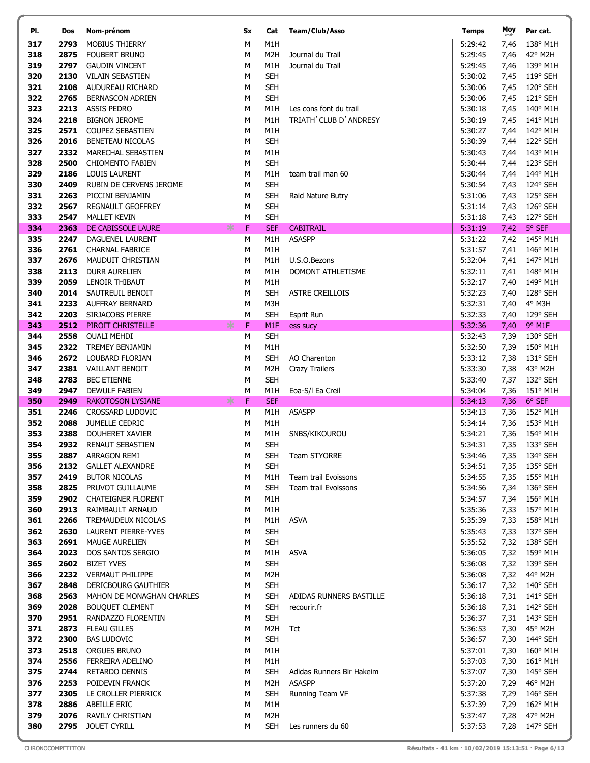| PI.        | Dos          | Nom-prénom                                     | <b>Sx</b> | Cat                            | <b>Team/Club/Asso</b>     | <b>Temps</b>       | Moy<br>km/h  | Par cat.                     |
|------------|--------------|------------------------------------------------|-----------|--------------------------------|---------------------------|--------------------|--------------|------------------------------|
| 317        | 2793         | <b>MOBIUS THIERRY</b>                          | M         | M1H                            |                           | 5:29:42            | 7,46         | 138° M1H                     |
| 318        | 2875         | FOUBERT BRUNO                                  | M         | M <sub>2</sub> H               | Journal du Trail          | 5:29:45            | 7,46         | 42° M2H                      |
| 319        | 2797         | <b>GAUDIN VINCENT</b>                          | М         | M1H                            | Journal du Trail          | 5:29:45            | 7,46         | 139° M1H                     |
| 320        | 2130         | VILAIN SEBASTIEN                               | M         | <b>SEH</b>                     |                           | 5:30:02            | 7,45         | 119° SEH                     |
| 321        | 2108         | AUDUREAU RICHARD                               | M         | <b>SEH</b>                     |                           | 5:30:06            | 7,45         | 120° SEH                     |
| 322        | 2765         | <b>BERNASCON ADRIEN</b>                        | M         | <b>SEH</b>                     |                           | 5:30:06            | 7,45         | 121° SEH                     |
| 323        | 2213         | <b>ASSIS PEDRO</b>                             | м         | M1H                            | Les cons font du trail    | 5:30:18            | 7,45         | 140° M1H                     |
| 324        | 2218         | <b>BIGNON JEROME</b>                           | M         | M1H                            | TRIATH' CLUB D'ANDRESY    | 5:30:19            | 7,45         | 141° M1H                     |
| 325        | 2571         | <b>COUPEZ SEBASTIEN</b>                        | M         | M1H                            |                           | 5:30:27            | 7,44         | 142° M1H                     |
| 326<br>327 | 2016<br>2332 | BENETEAU NICOLAS                               | M         | <b>SEH</b><br>M1H              |                           | 5:30:39            | 7,44         | 122° SEH                     |
| 328        | 2500         | MARECHAL SEBASTIEN<br><b>CHIOMENTO FABIEN</b>  | М<br>М    | <b>SEH</b>                     |                           | 5:30:43<br>5:30:44 | 7,44<br>7,44 | 143° M1H<br>123° SEH         |
| 329        | 2186         | LOUIS LAURENT                                  | М         | M1H                            | team trail man 60         | 5:30:44            | 7,44         | 144° M1H                     |
| 330        | 2409         | RUBIN DE CERVENS JEROME                        | M         | <b>SEH</b>                     |                           | 5:30:54            | 7,43         | 124° SEH                     |
| 331        | 2263         | PICCINI BENJAMIN                               | М         | <b>SEH</b>                     | Raid Nature Butry         | 5:31:06            | 7,43         | 125° SEH                     |
| 332        | 2567         | REGNAULT GEOFFREY                              | М         | <b>SEH</b>                     |                           | 5:31:14            | 7,43         | 126° SEH                     |
| 333        | 2547         | <b>MALLET KEVIN</b>                            | М         | <b>SEH</b>                     |                           | 5:31:18            | 7,43         | 127° SEH                     |
| 334        | 2363         | DE CABISSOLE LAURE                             | ∗<br>F    | <b>SEF</b>                     | <b>CABITRAIL</b>          | 5:31:19            | 7,42         | 5° SEF                       |
| 335        | 2247         | DAGUENEL LAURENT                               | М         | M1H                            | <b>ASASPP</b>             | 5:31:22            | 7,42         | 145° M1H                     |
| 336        | 2761         | <b>CHARNAL FABRICE</b>                         | М         | M1H                            |                           | 5:31:57            | 7,41         | 146° M1H                     |
| 337        | 2676         | MAUDUIT CHRISTIAN                              | М         | M1H                            | U.S.O.Bezons              | 5:32:04            | 7,41         | 147° M1H                     |
| 338        | 2113         | <b>DURR AURELIEN</b>                           | M         | M1H                            | DOMONT ATHLETISME         | 5:32:11            | 7,41         | 148° M1H                     |
| 339        | 2059         | LENOIR THIBAUT                                 | М         | M1H                            |                           | 5:32:17            | 7,40         | 149° M1H                     |
| 340        | 2014         | SAUTREUIL BENOIT                               | M         | <b>SEH</b>                     | <b>ASTRE CREILLOIS</b>    | 5:32:23            | 7,40         | 128° SEH                     |
| 341<br>342 | 2233<br>2203 | <b>AUFFRAY BERNARD</b><br>SIRJACOBS PIERRE     | M<br>M    | M3H<br><b>SEH</b>              |                           | 5:32:31<br>5:32:33 | 7,40         | 4° M3H<br>129° SEH           |
| 343        | 2512         | PIROIT CHRISTELLE                              | ∗<br>F    | M <sub>1F</sub>                | Esprit Run<br>ess sucy    | 5:32:36            | 7,40<br>7,40 | 9° M1F                       |
| 344        | 2558         | <b>OUALI MEHDI</b>                             | М         | <b>SEH</b>                     |                           | 5:32:43            | 7,39         | 130° SEH                     |
| 345        | 2322         | <b>TREMEY BENJAMIN</b>                         | М         | M1H                            |                           | 5:32:50            | 7,39         | 150° M1H                     |
| 346        | 2672         | LOUBARD FLORIAN                                | M         | <b>SEH</b>                     | AO Charenton              | 5:33:12            | 7,38         | 131° SEH                     |
| 347        | 2381         | VAILLANT BENOIT                                | М         | M2H                            | <b>Crazy Trailers</b>     | 5:33:30            | 7,38         | 43° M2H                      |
| 348        | 2783         | <b>BEC ETIENNE</b>                             | M         | <b>SEH</b>                     |                           | 5:33:40            | 7,37         | 132° SEH                     |
| 349        | 2947         | <b>DEWULF FABIEN</b>                           | М         | M1H                            | Eoa-S/I Ea Creil          | 5:34:04            | 7,36         | 151° M1H                     |
| 350        | 2949         | <b>RAKOTOSON LYSIANE</b>                       | F<br>∗    | <b>SEF</b>                     |                           | 5:34:13            | 7,36         | 6° SEF                       |
| 351        | 2246         | CROSSARD LUDOVIC                               | М         | M1H                            | <b>ASASPP</b>             | 5:34:13            | 7,36         | 152° M1H                     |
| 352        | 2088         | JUMELLE CEDRIC                                 | М         | M1H                            |                           | 5:34:14            | 7,36         | 153° M1H                     |
| 353<br>354 | 2388<br>2932 | DOUHERET XAVIER                                | М         | M1H                            | SNBS/KIKOUROU             | 5:34:21            | 7,36         | 154° M1H                     |
| 355        |              | RENAUT SEBASTIEN<br>2887 ARRAGON REMI          | М<br>М    | <b>SEH</b>                     | SEH Team STYORRE          | 5:34:31<br>5:34:46 | 7,35         | 133° SEH<br>7,35 134° SEH    |
| 356        | 2132         | <b>GALLET ALEXANDRE</b>                        | М         | <b>SEH</b>                     |                           | 5:34:51            | 7,35         | 135° SEH                     |
| 357        | 2419         | <b>BUTOR NICOLAS</b>                           | М         | M1H                            | Team trail Evoissons      | 5:34:55            | 7,35         | 155° M1H                     |
| 358        | 2825         | PRUVOT GUILLAUME                               | М         | <b>SEH</b>                     | Team trail Evoissons      | 5:34:56            | 7,34         | 136° SEH                     |
| 359        | 2902         | <b>CHATEIGNER FLORENT</b>                      | М         | M1H                            |                           | 5:34:57            | 7,34         | 156° M1H                     |
| 360        | 2913         | RAIMBAULT ARNAUD                               | М         | M1H                            |                           | 5:35:36            | 7,33         | 157° M1H                     |
| 361        | 2266         | TREMAUDEUX NICOLAS                             | М         |                                | M1H ASVA                  | 5:35:39            | 7,33         | 158° M1H                     |
| 362        | 2630         | LAURENT PIERRE-YVES                            | М         | <b>SEH</b>                     |                           | 5:35:43            | 7,33         | 137° SEH                     |
| 363        | 2691         | <b>MAUGE AURELIEN</b>                          | м         | <b>SEH</b>                     |                           | 5:35:52            | 7,32         | 138° SEH                     |
| 364        | 2023         | <b>DOS SANTOS SERGIO</b>                       | м         | M1H                            | <b>ASVA</b>               | 5:36:05            | 7,32         | 159° M1H                     |
| 365        | 2602         | <b>BIZET YVES</b>                              | м         | <b>SEH</b>                     |                           | 5:36:08            | 7,32         | 139° SEH                     |
| 366<br>367 | 2232<br>2848 | <b>VERMAUT PHILIPPE</b><br>DERICBOURG GAUTHIER | м<br>м    | M <sub>2</sub> H<br><b>SEH</b> |                           | 5:36:08<br>5:36:17 | 7,32<br>7,32 | 44° M2H<br>$140^{\circ}$ SEH |
| 368        | 2563         | MAHON DE MONAGHAN CHARLES                      | М         | <b>SEH</b>                     | ADIDAS RUNNERS BASTILLE   | 5:36:18            | 7,31         | $141^{\circ}$ SEH            |
| 369        | 2028         | <b>BOUQUET CLEMENT</b>                         | М         | <b>SEH</b>                     | recourir.fr               | 5:36:18            | 7,31         | 142° SEH                     |
| 370        | 2951         | RANDAZZO FLORENTIN                             | М         | <b>SEH</b>                     |                           | 5:36:37            | 7,31         | 143° SEH                     |
| 371        | 2873         | FLEAU GILLES                                   | м         | M <sub>2</sub> H               | Tct                       | 5:36:53            | 7,30         | 45° M2H                      |
| 372        | 2300         | <b>BAS LUDOVIC</b>                             | м         | <b>SEH</b>                     |                           | 5:36:57            | 7,30         | 144° SEH                     |
| 373        | 2518         | <b>ORGUES BRUNO</b>                            | М         | M1H                            |                           | 5:37:01            | 7,30         | 160° M1H                     |
| 374        | 2556         | FERREIRA ADELINO                               | М         | M1H                            |                           | 5:37:03            | 7,30         | 161° M1H                     |
| 375        | 2744         | <b>RETARDO DENNIS</b>                          | М         | <b>SEH</b>                     | Adidas Runners Bir Hakeim | 5:37:07            | 7,30         | 145° SEH                     |
| 376        | 2253         | POIDEVIN FRANCK                                | М         | M2H                            | <b>ASASPP</b>             | 5:37:20            | 7,29         | 46° M2H                      |
| 377        | 2305         | LE CROLLER PIERRICK                            | М         | <b>SEH</b>                     | Running Team VF           | 5:37:38            | 7,29         | $146^{\circ}$ SEH            |
| 378        | 2886         | <b>ABEILLE ERIC</b>                            | М         | M1H                            |                           | 5:37:39            | 7,29         | 162° M1H                     |
| 379<br>380 | 2076         | RAVILY CHRISTIAN<br>2795 JOUET CYRILL          | М<br>М    | M <sub>2</sub> H<br>SEH        | Les runners du 60         | 5:37:47<br>5:37:53 | 7,28<br>7,28 | 47° M2H<br>147° SEH          |
|            |              |                                                |           |                                |                           |                    |              |                              |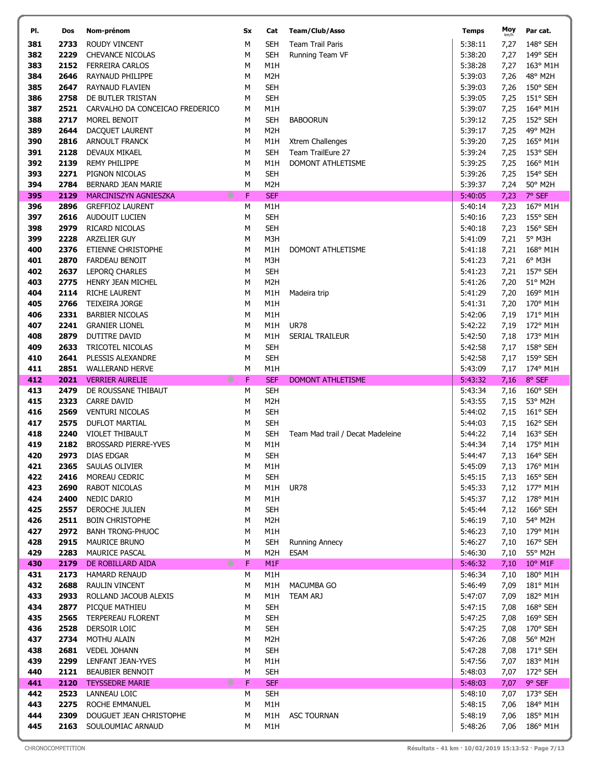| PI.        | Dos          | Nom-prénom                                    | Sx             | Cat                     | <b>Team/Club/Asso</b>            | <b>Temps</b>       | Moy<br>km/h  | Par cat.                  |
|------------|--------------|-----------------------------------------------|----------------|-------------------------|----------------------------------|--------------------|--------------|---------------------------|
| 381        | 2733         | ROUDY VINCENT                                 | M              | <b>SEH</b>              | <b>Team Trail Paris</b>          | 5:38:11            | 7,27         | 148° SEH                  |
| 382        | 2229         | <b>CHEVANCE NICOLAS</b>                       | M              | <b>SEH</b>              | Running Team VF                  | 5:38:20            | 7,27         | 149° SEH                  |
| 383        | 2152         | <b>FERREIRA CARLOS</b>                        | М              | M1H                     |                                  | 5:38:28            | 7,27         | 163° M1H                  |
| 384        | 2646         | RAYNAUD PHILIPPE                              | M              | M <sub>2</sub> H        |                                  | 5:39:03            | 7,26         | 48° M2H                   |
| 385        | 2647         | RAYNAUD FLAVIEN                               | М              | <b>SEH</b>              |                                  | 5:39:03            | 7,26         | 150° SEH                  |
| 386        | 2758         | DE BUTLER TRISTAN                             | M              | <b>SEH</b>              |                                  | 5:39:05            | 7,25         | 151° SEH                  |
| 387        | 2521         | CARVALHO DA CONCEICAO FREDERICO               | М              | M1H                     |                                  | 5:39:07            | 7,25         | 164° M1H                  |
| 388        | 2717         | MOREL BENOIT                                  | M              | <b>SEH</b>              | <b>BABOORUN</b>                  | 5:39:12            | 7,25         | 152° SEH                  |
| 389<br>390 | 2644<br>2816 | DACQUET LAURENT                               | M<br>M         | M <sub>2</sub> H<br>M1H | Xtrem Challenges                 | 5:39:17<br>5:39:20 | 7,25         | 49° M2H                   |
| 391        | 2128         | <b>ARNOULT FRANCK</b><br><b>DEVAUX MIKAEL</b> | M              | <b>SEH</b>              | Team TrailEure 27                | 5:39:24            | 7,25<br>7,25 | 165° M1H<br>153° SEH      |
| 392        | 2139         | <b>REMY PHILIPPE</b>                          | M              | M1H                     | DOMONT ATHLETISME                | 5:39:25            | 7,25         | 166° M1H                  |
| 393        | 2271         | PIGNON NICOLAS                                | M              | <b>SEH</b>              |                                  | 5:39:26            | 7,25         | 154° SEH                  |
| 394        | 2784         | BERNARD JEAN MARIE                            | М              | M <sub>2</sub> H        |                                  | 5:39:37            | 7,24         | 50° M2H                   |
| 395        | 2129         | MARCINISZYN AGNIESZKA                         | F<br>⋇         | <b>SEF</b>              |                                  | 5:40:05            | 7,23         | 7° SEF                    |
| 396        | 2896         | <b>GREFFIOZ LAURENT</b>                       | M              | M1H                     |                                  | 5:40:14            | 7,23         | 167° M1H                  |
| 397        | 2616         | AUDOUIT LUCIEN                                | M              | <b>SEH</b>              |                                  | 5:40:16            | 7,23         | 155° SEH                  |
| 398        | 2979         | RICARD NICOLAS                                | М              | <b>SEH</b>              |                                  | 5:40:18            | 7,23         | 156° SEH                  |
| 399        | 2228         | ARZELIER GUY                                  | M              | M3H                     |                                  | 5:41:09            | 7,21         | 5° M3H                    |
| 400        | 2376         | <b>ETIENNE CHRISTOPHE</b>                     | M              | M1H                     | DOMONT ATHLETISME                | 5:41:18            | 7,21         | 168° M1H                  |
| 401        | 2870         | <b>FARDEAU BENOIT</b>                         | M              | M3H                     |                                  | 5:41:23            | 7,21         | 6° M3H                    |
| 402        | 2637         | LEPORQ CHARLES                                | М              | <b>SEH</b>              |                                  | 5:41:23            | 7,21         | 157° SEH                  |
| 403        | 2775         | HENRY JEAN MICHEL                             | M              | M <sub>2</sub> H        |                                  | 5:41:26            | 7,20         | 51° M2H                   |
| 404<br>405 | 2114<br>2766 | <b>RICHE LAURENT</b>                          | M<br>M         | M1H<br>M1H              | Madeira trip                     | 5:41:29<br>5:41:31 | 7,20         | 169° M1H                  |
| 406        | 2331         | TEIXEIRA JORGE<br><b>BARBIER NICOLAS</b>      | М              | M1H                     |                                  | 5:42:06            | 7,20<br>7,19 | 170° M1H<br>171° M1H      |
| 407        | 2241         | <b>GRANIER LIONEL</b>                         | M              | M1H                     | <b>UR78</b>                      | 5:42:22            | 7,19         | 172° M1H                  |
| 408        | 2879         | DUTITRE DAVID                                 | М              | M1H                     | SERIAL TRAILEUR                  | 5:42:50            | 7,18         | 173° M1H                  |
| 409        | 2633         | TRICOTEL NICOLAS                              | M              | <b>SEH</b>              |                                  | 5:42:58            | 7,17         | 158° SEH                  |
| 410        | 2641         | PLESSIS ALEXANDRE                             | M              | <b>SEH</b>              |                                  | 5:42:58            | 7,17         | 159° SEH                  |
| 411        | 2851         | <b>WALLERAND HERVE</b>                        | M              | M1H                     |                                  | 5:43:09            | 7,17         | 174° M1H                  |
| 412        | 2021         | <b>VERRIER AURELIE</b>                        | F<br>⋇         | <b>SEF</b>              | <b>DOMONT ATHLETISME</b>         | 5:43:32            | 7,16         | 8° SEF                    |
| 413        | 2479         | DE ROUSSANE THIBAUT                           | M              | <b>SEH</b>              |                                  | 5:43:34            | 7,16         | 160° SEH                  |
| 415        | 2323<br>2569 | <b>CARRE DAVID</b>                            | M              | M <sub>2</sub> H        |                                  | 5:43:55            | 7,15         | 53° M2H                   |
| 416        |              | <b>VENTURI NICOLAS</b>                        | M              | <b>SEH</b>              |                                  | 5:44:02            | 7,15         | 161° SEH                  |
|            |              |                                               |                |                         |                                  |                    |              |                           |
| 417        | 2575         | <b>DUFLOT MARTIAL</b>                         | М              | <b>SEH</b>              |                                  | 5:44:03            | 7,15         | 162° SEH                  |
| 418        | 2240         | <b>VIOLET THIBAULT</b>                        | M              | <b>SEH</b>              | Team Mad trail / Decat Madeleine | 5:44:22            | 7,14         | 163° SEH                  |
| 419        | 2182         | <b>BROSSARD PIERRE-YVES</b>                   | М              | M1H                     |                                  | 5:44:34            |              | 7,14 175° M1H             |
| 420<br>421 | 2365         | 2973 DIAS EDGAR                               | ${\sf M}$<br>М | <b>SEH</b><br>M1H       |                                  | 5:44:47<br>5:45:09 |              | 7,13 164° SEH<br>176° M1H |
| 422        | 2416         | SAULAS OLIVIER<br>MOREAU CEDRIC               | M              | <b>SEH</b>              |                                  | 5:45:15            | 7,13<br>7,13 | 165° SEH                  |
| 423        | 2690         | <b>RABOT NICOLAS</b>                          | М              | M1H                     | <b>UR78</b>                      | 5:45:33            | 7,12         | 177° M1H                  |
| 424        | 2400         | NEDIC DARIO                                   | М              | M1H                     |                                  | 5:45:37            | 7,12         | 178° M1H                  |
| 425        | 2557         | DEROCHE JULIEN                                | М              | <b>SEH</b>              |                                  | 5:45:44            | 7,12         | 166° SEH                  |
| 426        | 2511         | <b>BOIN CHRISTOPHE</b>                        | M              | M <sub>2</sub> H        |                                  | 5:46:19            | 7,10         | 54° M2H                   |
| 427        | 2972         | <b>BANH TRONG-PHUOC</b>                       | М              | M1H                     |                                  | 5:46:23            | 7,10         | 179° M1H                  |
| 428        | 2915         | MAURICE BRUNO                                 | M              | <b>SEH</b>              | <b>Running Annecy</b>            | 5:46:27            | 7,10         | 167° SEH                  |
| 429        | 2283         | <b>MAURICE PASCAL</b>                         | M              | M <sub>2</sub> H        | <b>ESAM</b>                      | 5:46:30            | 7,10         | 55° M2H                   |
| 430        | 2179         | DE ROBILLARD AIDA                             | ∗<br>F         | M <sub>1F</sub>         |                                  | 5:46:32            | 7,10         | 10° M1F                   |
| 431        | 2173         | HAMARD RENAUD                                 | М<br>М         | M1H<br>M1H              | MACUMBA GO                       | 5:46:34            | 7,10         | 180° M1H                  |
| 432<br>433 | 2688<br>2933 | RAULIN VINCENT<br>ROLLAND JACOUB ALEXIS       | M              | M1H                     | TEAM ARJ                         | 5:46:49<br>5:47:07 | 7,09<br>7,09 | 181° M1H<br>182° M1H      |
| 434        | 2877         | PICQUE MATHIEU                                | М              | <b>SEH</b>              |                                  | 5:47:15            | 7,08         | 168° SEH                  |
| 435        | 2565         | <b>TERPEREAU FLORENT</b>                      | М              | <b>SEH</b>              |                                  | 5:47:25            | 7,08         | 169° SEH                  |
| 436        | 2528         | DERSOIR LOIC                                  | М              | <b>SEH</b>              |                                  | 5:47:25            | 7,08         | $170^\circ$ SEH           |
| 437        | 2734         | MOTHU ALAIN                                   | М              | M <sub>2</sub> H        |                                  | 5:47:26            | 7,08         | 56° M2H                   |
| 438        | 2681         | <b>VEDEL JOHANN</b>                           | M              | <b>SEH</b>              |                                  | 5:47:28            | 7,08         | 171° SEH                  |
| 439        | 2299         | LENFANT JEAN-YVES                             | М              | M1H                     |                                  | 5:47:56            | 7,07         | 183° M1H                  |
| 440        | 2121         | BEAUBIER BENNOIT                              | М              | <b>SEH</b>              |                                  | 5:48:03            | 7,07         | 172° SEH                  |
| 441        | 2120         | <b>TEYSSEDRE MARIE</b>                        | ∗<br>F         | <b>SEF</b>              |                                  | 5:48:03            | 7,07         | 9° SEF                    |
| 442        | 2523         | LANNEAU LOIC                                  | M              | <b>SEH</b>              |                                  | 5:48:10            | 7,07         | 173° SEH                  |
| 443<br>444 | 2275<br>2309 | ROCHE EMMANUEL<br>DOUGUET JEAN CHRISTOPHE     | M<br>M         | M1H<br>M1H              | <b>ASC TOURNAN</b>               | 5:48:15<br>5:48:19 | 7,06<br>7,06 | 184° M1H<br>185° M1H      |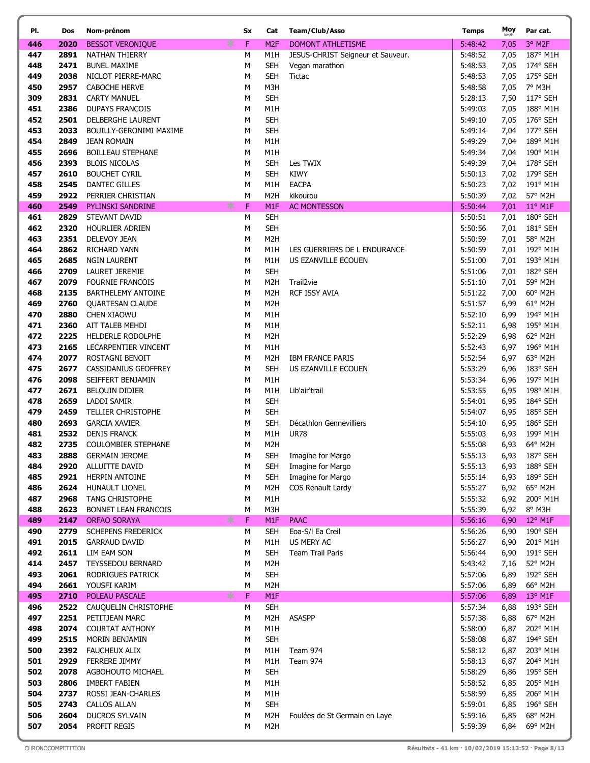| PI.        | Dos          | Nom-prénom                                  | Sx        | Cat                                 | Team/Club/Asso                    | <b>Temps</b>       | Moy          | Par cat.             |
|------------|--------------|---------------------------------------------|-----------|-------------------------------------|-----------------------------------|--------------------|--------------|----------------------|
| 446        | 2020         | ∗<br><b>BESSOT VERONIQUE</b>                | F         | M <sub>2F</sub>                     | <b>DOMONT ATHLETISME</b>          | 5:48:42            | 7,05         | 3° M2F               |
| 447        | 2891         | NATHAN THIERRY                              | M         | M1H                                 | JESUS-CHRIST Seigneur et Sauveur. | 5:48:52            | 7,05         | 187° M1H             |
| 448        | 2471         | <b>BUNEL MAXIME</b>                         | M         | <b>SEH</b>                          | Vegan marathon                    | 5:48:53            | 7,05         | 174° SEH             |
| 449        | 2038         | NICLOT PIERRE-MARC                          | М         | <b>SEH</b>                          | <b>Tictac</b>                     | 5:48:53            | 7,05         | 175° SEH             |
| 450        | 2957         | <b>CABOCHE HERVE</b>                        | M         | M3H                                 |                                   | 5:48:58            | 7,05         | 7° M3H               |
| 309        | 2831         | <b>CARTY MANUEL</b>                         | M         | <b>SEH</b>                          |                                   | 5:28:13            | 7,50         | 117° SEH             |
| 451        | 2386         | <b>DUPAYS FRANCOIS</b>                      | M         | M1H                                 |                                   | 5:49:03            | 7,05         | 188° M1H             |
| 452        | 2501         | DELBERGHE LAURENT                           | М         | <b>SEH</b>                          |                                   | 5:49:10            | 7,05         | 176° SEH             |
| 453        | 2033         | BOUILLY-GERONIMI MAXIME                     | M         | <b>SEH</b>                          |                                   | 5:49:14            | 7,04         | 177° SEH             |
| 454        | 2849         | <b>JEAN ROMAIN</b>                          | М         | M1H                                 |                                   | 5:49:29            | 7,04         | 189° M1H             |
| 455        | 2696         | <b>BOILLEAU STEPHANE</b>                    | М         | M1H                                 |                                   | 5:49:34            | 7,04         | 190° M1H             |
| 456        | 2393         | <b>BLOIS NICOLAS</b>                        | M         | <b>SEH</b>                          | Les TWIX                          | 5:49:39            | 7,04         | 178° SEH             |
| 457        | 2610         | <b>BOUCHET CYRIL</b>                        | M         | <b>SEH</b>                          | <b>KIWY</b>                       | 5:50:13            | 7,02         | 179° SEH             |
| 458<br>459 | 2545<br>2922 | DANTEC GILLES                               | М<br>M    | M1H                                 | <b>EACPA</b>                      | 5:50:23<br>5:50:39 | 7,02         | 191° M1H<br>57° M2H  |
| 460        | 2549         | PERRIER CHRISTIAN<br>∗<br>PYLINSKI SANDRINE | F         | M <sub>2</sub> H<br>M <sub>1F</sub> | kikourou<br><b>AC MONTESSON</b>   | 5:50:44            | 7,02<br>7,01 | $11^{\circ}$ M1F     |
| 461        | 2829         | STEVANT DAVID                               | ${\sf M}$ | <b>SEH</b>                          |                                   | 5:50:51            | 7,01         | 180° SEH             |
| 462        | 2320         | <b>HOURLIER ADRIEN</b>                      | М         | <b>SEH</b>                          |                                   | 5:50:56            | 7,01         | 181° SEH             |
| 463        | 2351         | DELEVOY JEAN                                | M         | M <sub>2</sub> H                    |                                   | 5:50:59            | 7,01         | 58° M2H              |
| 464        | 2862         | RICHARD YANN                                | М         | M1H                                 | LES GUERRIERS DE L ENDURANCE      | 5:50:59            | 7,01         | 192° M1H             |
| 465        | 2685         | <b>NGIN LAURENT</b>                         | M         | M1H                                 | US EZANVILLE ECOUEN               | 5:51:00            | 7,01         | 193° M1H             |
| 466        | 2709         | LAURET JEREMIE                              | М         | <b>SEH</b>                          |                                   | 5:51:06            | 7,01         | 182° SEH             |
| 467        | 2079         | <b>FOURNIE FRANCOIS</b>                     | М         | M <sub>2</sub> H                    | Trail <sub>2vie</sub>             | 5:51:10            | 7,01         | 59° M2H              |
| 468        | 2135         | <b>BARTHELEMY ANTOINE</b>                   | М         | M <sub>2</sub> H                    | RCF ISSY AVIA                     | 5:51:22            | 7,00         | 60° M2H              |
| 469        | 2760         | QUARTESAN CLAUDE                            | M         | M <sub>2</sub> H                    |                                   | 5:51:57            | 6,99         | 61° M2H              |
| 470        | 2880         | CHEN XIAOWU                                 | М         | M1H                                 |                                   | 5:52:10            | 6,99         | 194° M1H             |
| 471        | 2360         | AIT TALEB MEHDI                             | M         | M1H                                 |                                   | 5:52:11            | 6,98         | 195° M1H             |
| 472        | 2225         | HELDERLE RODOLPHE                           | М         | M <sub>2</sub> H                    |                                   | 5:52:29            | 6,98         | 62° M2H              |
| 473        | 2165         | LECARPENTIER VINCENT                        | M         | M1H                                 |                                   | 5:52:43            | 6,97         | 196° M1H             |
| 474        | 2077         | ROSTAGNI BENOIT                             | М         | M <sub>2</sub> H                    | <b>IBM FRANCE PARIS</b>           | 5:52:54            | 6,97         | 63° M2H              |
| 475        | 2677         | CASSIDANIUS GEOFFREY                        | М         | <b>SEH</b>                          | US EZANVILLE ECOUEN               | 5:53:29            | 6,96         | 183° SEH             |
| 476        | 2098         | SEIFFERT BENJAMIN                           | М         | M1H                                 |                                   | 5:53:34            | 6,96         | 197° M1H             |
| 477        | 2671<br>2659 | <b>BELOUIN DIDIER</b><br>LADDI SAMIR        | M         | M1H<br><b>SEH</b>                   | Lib'air'trail                     | 5:53:55            | 6,95         | 198° M1H<br>184° SEH |
| 478<br>479 | 2459         | <b>TELLIER CHRISTOPHE</b>                   | М<br>М    | <b>SEH</b>                          |                                   | 5:54:01<br>5:54:07 | 6,95<br>6,95 | 185° SEH             |
| 480        | 2693         | <b>GARCIA XAVIER</b>                        | М         | <b>SEH</b>                          | Décathlon Gennevilliers           | 5:54:10            | 6,95         | 186° SEH             |
| 481        | 2532         | <b>DENIS FRANCK</b>                         | M         | M1H                                 | <b>UR78</b>                       | 5:55:03            | 6,93         | 199° M1H             |
| 482        | 2735         | <b>COULOMBIER STEPHANE</b>                  | M         | M <sub>2</sub> H                    |                                   | 5:55:08            | 6,93         | 64° M2H              |
| 483        | 2888         | <b>GERMAIN JEROME</b>                       | M         | <b>SEH</b>                          | Imagine for Margo                 | 5:55:13            | 6,93         | 187° SEH             |
| 484        | 2920         | ALLUITTE DAVID                              | M         | SEH                                 | Imagine for Margo                 | 5:55:13            | 6,93         | 188° SEH             |
| 485        | 2921         | HERPIN ANTOINE                              | M         | <b>SEH</b>                          | Imagine for Margo                 | 5:55:14            | 6,93         | 189° SEH             |
| 486        | 2624         | <b>HUNAULT LIONEL</b>                       | M         | M <sub>2</sub> H                    | COS Renault Lardy                 | 5:55:27            | 6,92         | 65° M2H              |
| 487        | 2968         | <b>TANG CHRISTOPHE</b>                      | M         | M1H                                 |                                   | 5:55:32            | 6,92         | 200° M1H             |
| 488        | 2623         | BONNET LEAN FRANCOIS                        | М         | M3H                                 |                                   | 5:55:39            | 6,92         | 8° M3H               |
| 489        | 2147         | ∗<br><b>ORFAO SORAYA</b>                    | F         | M1F                                 | <b>PAAC</b>                       | 5:56:16            | 6,90         | 12° M1F              |
| 490        | 2779         | <b>SCHEPENS FREDERICK</b>                   | М         | <b>SEH</b>                          | Eoa-S/I Ea Creil                  | 5:56:26            | 6,90         | 190° SEH             |
| 491        | 2015         | <b>GARRAUD DAVID</b>                        | М         | M1H                                 | US MERY AC                        | 5:56:27            | 6,90         | 201° M1H             |
| 492<br>414 | 2611<br>2457 | LIM EAM SON<br><b>TEYSSEDOU BERNARD</b>     | М<br>M    | <b>SEH</b><br>M <sub>2</sub> H      | Team Trail Paris                  | 5:56:44<br>5:43:42 | 6,90         | 191° SEH<br>52° M2H  |
| 493        | 2061         | RODRIGUES PATRICK                           | M         | <b>SEH</b>                          |                                   | 5:57:06            | 7,16<br>6,89 | 192° SEH             |
| 494        | 2661         | YOUSFI KARIM                                | М         | M <sub>2</sub> H                    |                                   | 5:57:06            | 6,89         | 66° M2H              |
| 495        | 2710         | ∗<br>POLEAU PASCALE                         | F         | M1F                                 |                                   | 5:57:06            | 6,89         | 13° M1F              |
| 496        | 2522         | CAUQUELIN CHRISTOPHE                        | М         | <b>SEH</b>                          |                                   | 5:57:34            | 6,88         | 193° SEH             |
| 497        | 2251         | PETITJEAN MARC                              | М         | M <sub>2</sub> H                    | <b>ASASPP</b>                     | 5:57:38            | 6,88         | 67° M2H              |
| 498        | 2074         | <b>COURTAT ANTHONY</b>                      | М         | M1H                                 |                                   | 5:58:00            | 6,87         | 202° M1H             |
| 499        | 2515         | MORIN BENJAMIN                              | M         | <b>SEH</b>                          |                                   | 5:58:08            | 6,87         | 194° SEH             |
| 500        | 2392         | <b>FAUCHEUX ALIX</b>                        | M         | M1H                                 | Team 974                          | 5:58:12            | 6,87         | 203° M1H             |
| 501        | 2929         | FERRERE JIMMY                               | M         | M1H                                 | Team 974                          | 5:58:13            | 6,87         | 204° M1H             |
| 502        | 2078         | AGBOHOUTO MICHAEL                           | М         | <b>SEH</b>                          |                                   | 5:58:29            | 6,86         | 195° SEH             |
| 503        | 2806         | <b>IMBERT FABIEN</b>                        | M         | M1H                                 |                                   | 5:58:52            | 6,85         | 205° M1H             |
| 504        | 2737         | ROSSI JEAN-CHARLES                          | М         | M1H                                 |                                   | 5:58:59            | 6,85         | 206° M1H             |
| 505        | 2743         | <b>CALLOS ALLAN</b>                         | М         | <b>SEH</b>                          |                                   | 5:59:01            | 6,85         | 196° SEH             |
| 506        | 2604         | <b>DUCROS SYLVAIN</b>                       | М         | M <sub>2</sub> H                    | Foulées de St Germain en Laye     | 5:59:16            | 6,85         | 68° M2H              |
| 507        | 2054         | PROFIT REGIS                                | M         | M <sub>2</sub> H                    |                                   | 5:59:39            | 6,84         | 69° M2H              |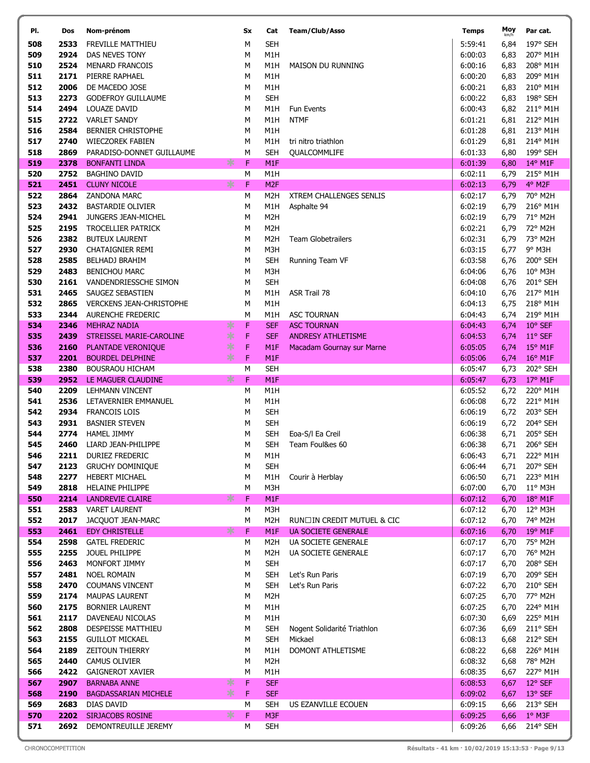| PI.        | Dos          | Nom-prénom                                   |        | Sx      | Cat                      | Team/Club/Asso                 | <b>Temps</b>       | Moy          | Par cat.             |
|------------|--------------|----------------------------------------------|--------|---------|--------------------------|--------------------------------|--------------------|--------------|----------------------|
| 508        | 2533         | FREVILLE MATTHIEU                            |        | M       | <b>SEH</b>               |                                | 5:59:41            | 6,84         | 197° SEH             |
| 509        | 2924         | DAS NEVES TONY                               |        | M       | M1H                      |                                | 6:00:03            | 6,83         | 207° M1H             |
| 510        | 2524         | <b>MENARD FRANCOIS</b>                       |        | М       | M1H                      | <b>MAISON DU RUNNING</b>       | 6:00:16            | 6,83         | 208° M1H             |
| 511        | 2171         | PIERRE RAPHAEL                               |        | M       | M <sub>1</sub> H         |                                | 6:00:20            | 6,83         | 209° M1H             |
| 512        | 2006         | DE MACEDO JOSE                               |        | М       | M1H                      |                                | 6:00:21            | 6,83         | 210° M1H             |
| 513        | 2273         | <b>GODEFROY GUILLAUME</b>                    |        | M       | <b>SEH</b>               |                                | 6:00:22            | 6,83         | 198° SEH             |
| 514        | 2494         | LOUAZE DAVID                                 |        | М       | M1H                      | Fun Events                     | 6:00:43            | 6,82         | 211° M1H             |
| 515        | 2722         | <b>VARLET SANDY</b>                          |        | M       | M1H                      | <b>NTMF</b>                    | 6:01:21            | 6,81         | 212° M1H             |
| 516        | 2584         | <b>BERNIER CHRISTOPHE</b>                    |        | M       | M1H                      |                                | 6:01:28            | 6,81         | 213° M1H             |
| 517        | 2740         | <b>WIECZOREK FABIEN</b>                      |        | M       | M1H                      | tri nitro triathlon            | 6:01:29            | 6,81         | 214° M1H             |
| 518        | 2869         | PARADISO-DONNET GUILLAUME                    |        | M       | <b>SEH</b>               | QUALCOMMLIFE                   | 6:01:33            | 6,80         | 199° SEH             |
| 519        | 2378         | <b>BONFANTI LINDA</b>                        | ∗      | F       | M <sub>1F</sub>          |                                | 6:01:39            | 6,80         | 14° M1F              |
| 520<br>521 | 2752<br>2451 | <b>BAGHINO DAVID</b><br><b>CLUNY NICOLE</b>  | $\ast$ | M<br>F  | M1H<br>M <sub>2F</sub>   |                                | 6:02:11<br>6:02:13 | 6,79<br>6,79 | 215° M1H<br>4° M2F   |
| 522        | 2864         | ZANDONA MARC                                 |        | M       | M <sub>2</sub> H         | <b>XTREM CHALLENGES SENLIS</b> | 6:02:17            | 6,79         | 70° M2H              |
| 523        | 2432         | <b>BASTARDIE OLIVIER</b>                     |        | M       | M1H                      | Asphalte 94                    | 6:02:19            | 6,79         | 216° M1H             |
| 524        | 2941         | JUNGERS JEAN-MICHEL                          |        | M       | M <sub>2</sub> H         |                                | 6:02:19            | 6,79         | 71° M2H              |
| 525        | 2195         | <b>TROCELLIER PATRICK</b>                    |        | М       | M <sub>2</sub> H         |                                | 6:02:21            | 6,79         | 72° M2H              |
| 526        | 2382         | <b>BUTEUX LAURENT</b>                        |        | M       | M <sub>2</sub> H         | Team Globetrailers             | 6:02:31            | 6,79         | 73° M2H              |
| 527        | 2930         | CHATAIGNIER REMI                             |        | М       | M3H                      |                                | 6:03:15            | 6,77         | $9°$ M3H             |
| 528        | 2585         | BELHADJ BRAHIM                               |        | M       | <b>SEH</b>               | Running Team VF                | 6:03:58            | 6,76         | 200° SEH             |
| 529        | 2483         | <b>BENICHOU MARC</b>                         |        | М       | M3H                      |                                | 6:04:06            | 6,76         | $10^{\circ}$ M3H     |
| 530        | 2161         | VANDENDRIESSCHE SIMON                        |        | M       | <b>SEH</b>               |                                | 6:04:08            | 6,76         | 201° SEH             |
| 531        | 2465         | SAUGEZ SEBASTIEN                             |        | M       | M1H                      | ASR Trail 78                   | 6:04:10            | 6,76         | 217° M1H             |
| 532        | 2865         | <b>VERCKENS JEAN-CHRISTOPHE</b>              |        | M       | M1H                      |                                | 6:04:13            | 6,75         | 218° M1H             |
| 533        | 2344         | <b>AURENCHE FREDERIC</b>                     |        | M       | M1H                      | <b>ASC TOURNAN</b>             | 6:04:43            | 6,74         | 219° M1H             |
| 534        | 2346         | <b>MEHRAZ NADIA</b>                          | ∗      | F       | <b>SEF</b>               | <b>ASC TOURNAN</b>             | 6:04:43            | 6,74         | 10° SEF              |
| 535        | 2439         | STREISSEL MARIE-CAROLINE                     | ∗      | F       | <b>SEF</b>               | <b>ANDRESY ATHLETISME</b>      | 6:04:53            | 6,74         | 11° SEF              |
| 536        | 2160         | PLANTADE VERONIQUE                           | ∗      | F       | M <sub>1F</sub>          | Macadam Gournay sur Marne      | 6:05:05            | 6,74         | $15^{\circ}$ M1F     |
| 537        | 2201         | <b>BOURDEL DELPHINE</b>                      | 氺      | F       | M <sub>1F</sub>          |                                | 6:05:06            | 6,74         | $16^{\circ}$ M1F     |
| 538        | 2380         | <b>BOUSRAOU HICHAM</b>                       |        | M       | <b>SEH</b>               |                                | 6:05:47            | 6,73         | 202° SEH             |
| 539        | 2952         | LE MAGUER CLAUDINE                           | ∗      | F       | M <sub>1F</sub>          |                                | 6:05:47            | 6,73         | $17^{\circ}$ M1F     |
| 540<br>541 | 2209<br>2536 | <b>LEHMANN VINCENT</b>                       |        | M       | M1H<br>M1H               |                                | 6:05:52<br>6:06:08 | 6,72         | 220° M1H<br>221° M1H |
| 542        | 2934         | LETAVERNIER EMMANUEL<br><b>FRANCOIS LOIS</b> |        | М<br>M  | <b>SEH</b>               |                                | 6:06:19            | 6,72<br>6,72 | 203° SEH             |
| 543        | 2931         | <b>BASNIER STEVEN</b>                        |        | М       | <b>SEH</b>               |                                | 6:06:19            | 6,72         | 204° SEH             |
| 544        | 2774         | <b>HAMEL JIMMY</b>                           |        | M       | <b>SEH</b>               | Eoa-S/I Ea Creil               | 6:06:38            | 6,71         | 205° SEH             |
| 545        | 2460         | LIARD JEAN-PHILIPPE                          |        | М       | <b>SEH</b>               | Team Foul&es 60                | 6:06:38            | 6,71         | 206° SEH             |
| 546        | 2211         | <b>DURIEZ FREDERIC</b>                       |        | $\sf M$ | M1H                      |                                | 6:06:43            |              | 6,71 222° M1H        |
| 547        | 2123         | <b>GRUCHY DOMINIQUE</b>                      |        | М       | <b>SEH</b>               |                                | 6:06:44            | 6,71         | 207° SEH             |
| 548        | 2277         | HEBERT MICHAEL                               |        | M       | M1H                      | Courir à Herblay               | 6:06:50            | 6,71         | 223° M1H             |
| 549        | 2818         | <b>HELAINE PHILIPPE</b>                      |        | М       | M3H                      |                                | 6:07:00            | 6,70         | $11^{\circ}$ M3H     |
| 550        | 2214         | <b>LANDREVIE CLAIRE</b>                      | ∗      | F       | M <sub>1F</sub>          |                                | 6:07:12            | 6,70         | $18^{\circ}$ M1F     |
| 551        | 2583         | <b>VARET LAURENT</b>                         |        | М       | M3H                      |                                | 6:07:12            | 6,70         | 12° M3H              |
| 552        | 2017         | JACQUOT JEAN-MARC                            |        | M       | M <sub>2</sub> H         | RUN□IN CREDIT MUTUEL & CIC     | 6:07:12            | 6,70         | 74° M2H              |
| 553        | 2461         | <b>EDY CHRISTELLE</b>                        | $\ast$ | F       | M <sub>1F</sub>          | <b>UA SOCIETE GENERALE</b>     | 6:07:16            | 6,70         | $19^{\circ}$ M1F     |
| 554        | 2598         | <b>GATEL FREDERIC</b>                        |        | M       | M2H                      | UA SOCIETE GENERALE            | 6:07:17            | 6,70         | 75° M2H              |
| 555        | 2255         | JOUEL PHILIPPE                               |        | М       | M2H<br><b>SEH</b>        | UA SOCIETE GENERALE            | 6:07:17            | 6,70         | 76° M2H              |
| 556        | 2463         | MONFORT JIMMY                                |        | M       |                          | Let's Run Paris                | 6:07:17            | 6,70         | 208° SEH             |
| 557<br>558 | 2481<br>2470 | <b>NOEL ROMAIN</b><br><b>COUMANS VINCENT</b> |        | M<br>М  | <b>SEH</b><br><b>SEH</b> | Let's Run Paris                | 6:07:19<br>6:07:22 | 6,70<br>6,70 | 209° SEH<br>210° SEH |
| 559        | 2174         | <b>MAUPAS LAURENT</b>                        |        | M       | M <sub>2</sub> H         |                                | 6:07:25            | 6,70         | 77° M2H              |
| 560        | 2175         | <b>BORNIER LAURENT</b>                       |        | М       | M1H                      |                                | 6:07:25            | 6,70         | 224° M1H             |
| 561        | 2117         | DAVENEAU NICOLAS                             |        | M       | M1H                      |                                | 6:07:30            | 6,69         | 225° M1H             |
| 562        | 2808         | DESPEISSE MATTHIEU                           |        | М       | <b>SEH</b>               | Nogent Solidarité Triathlon    | 6:07:36            | 6,69         | 211° SEH             |
| 563        | 2155         | <b>GUILLOT MICKAEL</b>                       |        | М       | <b>SEH</b>               | Mickael                        | 6:08:13            | 6,68         | 212° SEH             |
| 564        | 2189         | <b>ZEITOUN THIERRY</b>                       |        | М       | M1H                      | DOMONT ATHLETISME              | 6:08:22            | 6,68         | 226° M1H             |
| 565        | 2440         | <b>CAMUS OLIVIER</b>                         |        | М       | M2H                      |                                | 6:08:32            | 6,68         | 78° M2H              |
| 566        | 2422         | <b>GAIGNEROT XAVIER</b>                      |        | M       | M1H                      |                                | 6:08:35            | 6,67         | 227° M1H             |
| 567        | 2907         | <b>BARNABA ANNE</b>                          | ∗      | F       | <b>SEF</b>               |                                | 6:08:53            | 6,67         | 12° SEF              |
| 568        | 2190         | <b>BAGDASSARIAN MICHELE</b>                  | ∗      | F       | <b>SEF</b>               |                                | 6:09:02            | 6,67         | 13° SEF              |
| 569        | 2683         | DIAS DAVID                                   |        | M       | <b>SEH</b>               | US EZANVILLE ECOUEN            | 6:09:15            | 6,66         | 213° SEH             |
| 570        | 2202         | SIRJACOBS ROSINE                             | ∗      | F       | M3F                      |                                | 6:09:25            | 6,66         | $1^{\circ}$ M3F      |
| 571        | 2692         | DEMONTREUILLE JEREMY                         |        | М       | <b>SEH</b>               |                                | 6:09:26            | 6,66         | 214° SEH             |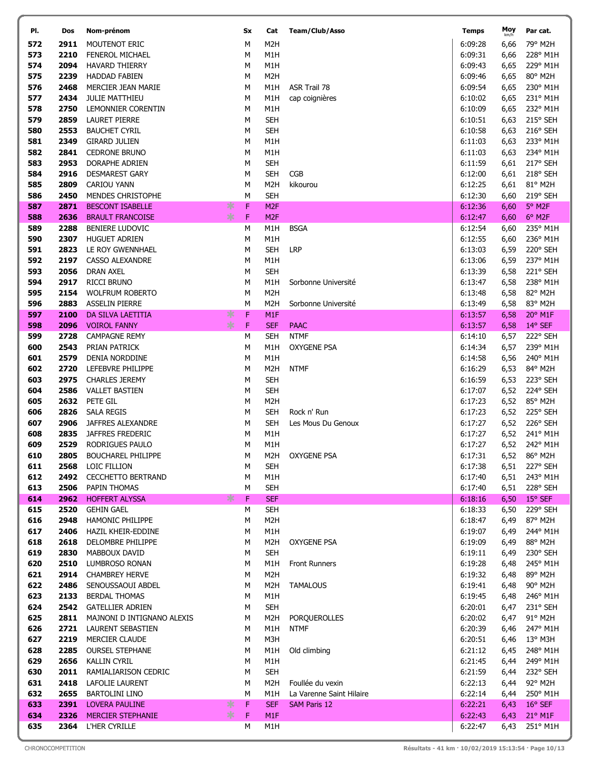| PI.        | Dos          | Nom-prénom                                          |   | Sx     | Cat                            | Team/Club/Asso           | <b>Temps</b>       | Moy<br>km/h  | Par cat.             |
|------------|--------------|-----------------------------------------------------|---|--------|--------------------------------|--------------------------|--------------------|--------------|----------------------|
| 572        | 2911         | MOUTENOT ERIC                                       |   | М      | M <sub>2</sub> H               |                          | 6:09:28            | 6,66         | 79° M2H              |
| 573        | 2210         | <b>FENEROL MICHAEL</b>                              |   | М      | M1H                            |                          | 6:09:31            | 6,66         | 228° M1H             |
| 574        | 2094         | <b>HAVARD THIERRY</b>                               |   | М      | M1H                            |                          | 6:09:43            | 6,65         | 229° M1H             |
| 575        | 2239         | <b>HADDAD FABIEN</b>                                |   | М      | M <sub>2</sub> H               |                          | 6:09:46            | 6,65         | 80° M2H              |
| 576        | 2468         | MERCIER JEAN MARIE                                  |   | M      | M1H                            | ASR Trail 78             | 6:09:54            | 6,65         | 230° M1H             |
| 577        | 2434         | <b>JULIE MATTHIEU</b>                               |   | М      | M1H                            | cap coignières           | 6:10:02            | 6,65         | 231° M1H             |
| 578        | 2750         | LEMONNIER CORENTIN                                  |   | M      | M1H                            |                          | 6:10:09            | 6,65         | 232° M1H             |
| 579        | 2859         | <b>LAURET PIERRE</b>                                |   | М      | <b>SEH</b>                     |                          | 6:10:51            | 6,63         | 215° SEH             |
| 580        | 2553         | <b>BAUCHET CYRIL</b>                                |   | M      | <b>SEH</b>                     |                          | 6:10:58            | 6,63         | 216° SEH             |
| 581        | 2349         | <b>GIRARD JULIEN</b>                                |   | М      | M1H                            |                          | 6:11:03            | 6,63         | 233° M1H             |
| 582        | 2841         | <b>CEDRONE BRUNO</b>                                |   | М      | M1H                            |                          | 6:11:03            | 6,63         | 234° M1H             |
| 583        | 2953         | DORAPHE ADRIEN                                      |   | М      | <b>SEH</b>                     |                          | 6:11:59            | 6,61         | 217° SEH             |
| 584        | 2916         | <b>DESMAREST GARY</b>                               |   | М      | <b>SEH</b>                     | <b>CGB</b>               | 6:12:00            | 6,61         | 218° SEH             |
| 585        | 2809<br>2450 | CARIOU YANN                                         |   | М<br>M | M <sub>2</sub> H<br><b>SEH</b> | kikourou                 | 6:12:25            | 6,61         | 81° M2H              |
| 586<br>587 | 2871         | <b>MENDES CHRISTOPHE</b><br><b>BESCONT ISABELLE</b> | ∗ | F      | M <sub>2F</sub>                |                          | 6:12:30<br>6:12:36 | 6,60<br>6,60 | 219° SEH<br>5° M2F   |
| 588        | 2636         | <b>BRAULT FRANCOISE</b>                             | ∗ | F      | M <sub>2F</sub>                |                          | 6:12:47            | 6,60         | 6° M2F               |
| 589        | 2288         | <b>BENIERE LUDOVIC</b>                              |   | М      | M1H                            | <b>BSGA</b>              | 6:12:54            | 6,60         | 235° M1H             |
| 590        | 2307         | <b>HUGUET ADRIEN</b>                                |   | М      | M1H                            |                          | 6:12:55            | 6,60         | 236° M1H             |
| 591        | 2823         | LE ROY GWENNHAEL                                    |   | M      | <b>SEH</b>                     | <b>LRP</b>               | 6:13:03            | 6,59         | 220° SEH             |
| 592        | 2197         | <b>CASSO ALEXANDRE</b>                              |   | М      | M1H                            |                          | 6:13:06            | 6,59         | 237° M1H             |
| 593        | 2056         | <b>DRAN AXEL</b>                                    |   | М      | <b>SEH</b>                     |                          | 6:13:39            | 6,58         | 221° SEH             |
| 594        | 2917         | <b>RICCI BRUNO</b>                                  |   | М      | M1H                            | Sorbonne Université      | 6:13:47            | 6,58         | 238° M1H             |
| 595        | 2154         | <b>WOLFRUM ROBERTO</b>                              |   | М      | M <sub>2</sub> H               |                          | 6:13:48            | 6,58         | 82° M2H              |
| 596        | 2883         | <b>ASSELIN PIERRE</b>                               |   | М      | M2H                            | Sorbonne Université      | 6:13:49            | 6,58         | 83° M2H              |
| 597        | 2100         | DA SILVA LAETITIA                                   | ∗ | F      | M <sub>1F</sub>                |                          | 6:13:57            | 6,58         | 20° M1F              |
| 598        | 2096         | <b>VOIROL FANNY</b>                                 | ∗ | F      | <b>SEF</b>                     | <b>PAAC</b>              | 6:13:57            | 6,58         | 14° SEF              |
| 599        | 2728         | <b>CAMPAGNE REMY</b>                                |   | М      | <b>SEH</b>                     | <b>NTMF</b>              | 6:14:10            | 6,57         | 222° SEH             |
| 600        | 2543         | PRIAN PATRICK                                       |   | М      | M1H                            | <b>OXYGENE PSA</b>       | 6:14:34            | 6,57         | 239° M1H             |
| 601        | 2579         | DENIA NORDDINE                                      |   | М      | M1H                            |                          | 6:14:58            | 6,56         | 240° M1H             |
| 602        | 2720         | LEFEBVRE PHILIPPE                                   |   | М      | M <sub>2</sub> H               | <b>NTMF</b>              | 6:16:29            | 6,53         | 84° M2H              |
| 603        | 2975         | <b>CHARLES JEREMY</b>                               |   | М      | <b>SEH</b>                     |                          | 6:16:59            | 6,53         | 223° SEH             |
| 604        | 2586         | <b>VALLET BASTIEN</b>                               |   | М      | <b>SEH</b>                     |                          | 6:17:07            | 6,52         | 224° SEH             |
| 605<br>606 | 2632<br>2826 | PETE GIL<br>SALA REGIS                              |   | М<br>М | M <sub>2</sub> H<br><b>SEH</b> | Rock n' Run              | 6:17:23<br>6:17:23 | 6,52<br>6,52 | 85° M2H<br>225° SEH  |
| 607        | 2906         | JAFFRES ALEXANDRE                                   |   | М      | <b>SEH</b>                     | Les Mous Du Genoux       | 6:17:27            | 6,52         | 226° SEH             |
| 608        | 2835         | <b>JAFFRES FREDERIC</b>                             |   | М      | M1H                            |                          | 6:17:27            | 6,52         | 241° M1H             |
| 609        | 2529         | RODRIGUES PAULO                                     |   | М      | M1H                            |                          | 6:17:27            |              | 6,52 242° M1H        |
| 610        | 2805         | <b>BOUCHAREL PHILIPPE</b>                           |   | М      | M2H                            | <b>OXYGENE PSA</b>       | 6:17:31            |              | 6,52 86° M2H         |
| 611        | 2568         | LOIC FILLION                                        |   | M      | <b>SEH</b>                     |                          | 6:17:38            | 6,51         | 227° SEH             |
| 612        | 2492         | <b>CECCHETTO BERTRAND</b>                           |   | М      | M1H                            |                          | 6:17:40            | 6,51         | 243° M1H             |
| 613        | 2506         | PAPIN THOMAS                                        |   | М      | <b>SEH</b>                     |                          | 6:17:40            | 6,51         | 228° SEH             |
| 614        | 2962         | <b>HOFFERT ALYSSA</b>                               | ∗ | F      | <b>SEF</b>                     |                          | 6:18:16            | 6,50         | 15° SEF              |
| 615        | 2520         | <b>GEHIN GAEL</b>                                   |   | М      | <b>SEH</b>                     |                          | 6:18:33            | 6,50         | 229° SEH             |
| 616        | 2948         | <b>HAMONIC PHILIPPE</b>                             |   | М      | M2H                            |                          | 6:18:47            | 6,49         | 87° M2H              |
| 617        | 2406         | HAZIL KHEIR-EDDINE                                  |   | М      | M1H                            |                          | 6:19:07            | 6,49         | 244° M1H             |
| 618        | 2618         | DELOMBRE PHILIPPE                                   |   | М      | M2H                            | OXYGENE PSA              | 6:19:09            | 6,49         | 88° M2H              |
| 619        | 2830         | MABBOUX DAVID                                       |   | М      | <b>SEH</b>                     |                          | 6:19:11            | 6,49         | 230° SEH<br>245° M1H |
| 620<br>621 | 2510<br>2914 | LUMBROSO RONAN<br><b>CHAMBREY HERVE</b>             |   | М<br>М | M1H<br>M <sub>2</sub> H        | <b>Front Runners</b>     | 6:19:28<br>6:19:32 | 6,48<br>6,48 | 89° M2H              |
| 622        | 2486         | SENOUSSAOUI ABDEL                                   |   | М      | M2H                            | <b>TAMALOUS</b>          | 6:19:41            | 6,48         | 90° M2H              |
| 623        | 2133         | <b>BERDAL THOMAS</b>                                |   | М      | M1H                            |                          | 6:19:45            | 6,48         | 246° M1H             |
| 624        | 2542         | <b>GATELLIER ADRIEN</b>                             |   | М      | <b>SEH</b>                     |                          | 6:20:01            | 6,47         | 231° SEH             |
| 625        | 2811         | MAJNONI D INTIGNANO ALEXIS                          |   | М      | M <sub>2</sub> H               | PORQUEROLLES             | 6:20:02            | 6,47         | 91° M2H              |
| 626        | 2721         | LAURENT SEBASTIEN                                   |   | М      | M1H                            | <b>NTMF</b>              | 6:20:39            | 6,46         | 247° M1H             |
| 627        | 2219         | MERCIER CLAUDE                                      |   | М      | M3H                            |                          | 6:20:51            | 6,46         | 13° M3H              |
| 628        | 2285         | <b>OURSEL STEPHANE</b>                              |   | М      | M1H                            | Old climbing             | 6:21:12            | 6,45         | 248° M1H             |
| 629        | 2656         | <b>KALLIN CYRIL</b>                                 |   | М      | M1H                            |                          | 6:21:45            | 6,44         | 249° M1H             |
| 630        | 2011         | RAMIALIARISON CEDRIC                                |   | М      | <b>SEH</b>                     |                          | 6:21:59            | 6,44         | 232° SEH             |
| 631        | 2418         | LAFOLIE LAURENT                                     |   | м      | M2H                            | Foullée du vexin         | 6:22:13            | 6,44         | 92° M2H              |
| 632        | 2655         | <b>BARTOLINI LINO</b>                               |   | М      | M1H                            | La Varenne Saint Hilaire | 6:22:14            | 6,44         | 250° M1H             |
| 633        | 2391         | <b>LOVERA PAULINE</b>                               | ∗ | F      | <b>SEF</b>                     | <b>SAM Paris 12</b>      | 6:22:21            | 6,43         | 16° SEF              |
| 634        | 2326         | <b>MERCIER STEPHANIE</b>                            | ∗ | F      | M <sub>1F</sub>                |                          | 6:22:43            | 6,43         | 21° M1F              |
| 635        | 2364         | L'HER CYRILLE                                       |   | м      | M1H                            |                          | 6:22:47            | 6,43         | 251° M1H             |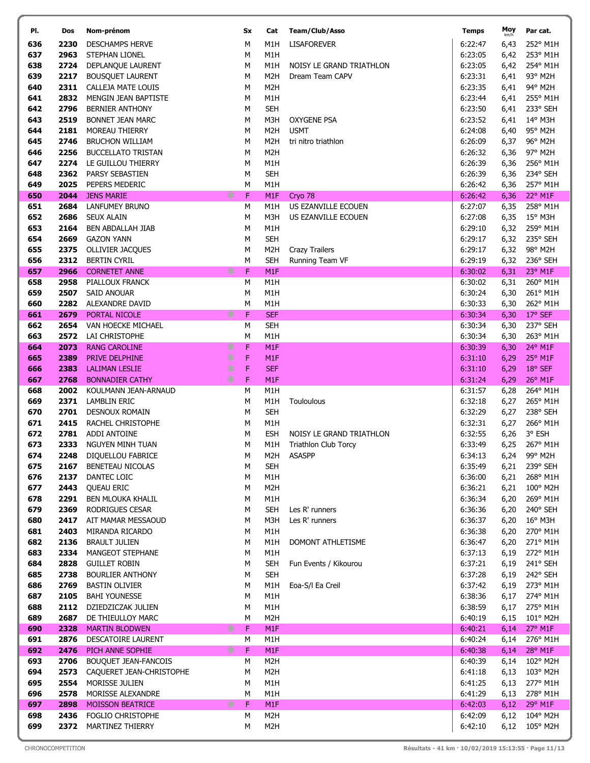| PI.        | Dos          | Nom-prénom                              |     | Sx        | Cat                      | Team/Club/Asso           | <b>Temps</b>       | Moy<br>km/h  | Par cat.                 |
|------------|--------------|-----------------------------------------|-----|-----------|--------------------------|--------------------------|--------------------|--------------|--------------------------|
| 636        | 2230         | <b>DESCHAMPS HERVE</b>                  |     | M         | M1H                      | <b>LISAFOREVER</b>       | 6:22:47            | 6,43         | 252° M1H                 |
| 637        | 2963         | STEPHAN LIONEL                          |     | М         | M1H                      |                          | 6:23:05            | 6,42         | 253° M1H                 |
| 638        | 2724         | DEPLANQUE LAURENT                       |     | M         | M1H                      | NOISY LE GRAND TRIATHLON | 6:23:05            | 6,42         | 254° M1H                 |
| 639        | 2217         | <b>BOUSQUET LAURENT</b>                 |     | М         | M <sub>2</sub> H         | Dream Team CAPV          | 6:23:31            | 6,41         | 93° M2H                  |
| 640        | 2311         | CALLEJA MATE LOUIS                      |     | М         | M <sub>2</sub> H         |                          | 6:23:35            | 6,41         | 94° M2H                  |
| 641        | 2832         | MENGIN JEAN BAPTISTE                    |     | М         | M1H                      |                          | 6:23:44            | 6,41         | 255° M1H                 |
| 642        | 2796         | <b>BERNIER ANTHONY</b>                  |     | М         | <b>SEH</b>               |                          | 6:23:50            | 6,41         | 233° SEH                 |
| 643        | 2519         | <b>BONNET JEAN MARC</b>                 |     | М         | M3H                      | <b>OXYGENE PSA</b>       | 6:23:52            | 6,41         | 14° M3H                  |
| 644        | 2181         | MOREAU THIERRY                          |     | M         | M <sub>2</sub> H         | <b>USMT</b>              | 6:24:08            | 6,40         | 95° M2H                  |
| 645        | 2746         | <b>BRUCHON WILLIAM</b>                  |     | M         | M <sub>2</sub> H         | tri nitro triathlon      | 6:26:09            | 6,37         | 96° M2H                  |
| 646        | 2256         | <b>BUCCELLATO TRISTAN</b>               |     | М         | M <sub>2</sub> H         |                          | 6:26:32            | 6,36         | 97° M2H                  |
| 647<br>648 | 2274<br>2362 | LE GUILLOU THIERRY<br>PARSY SEBASTIEN   |     | М<br>М    | M1H<br><b>SEH</b>        |                          | 6:26:39<br>6:26:39 | 6,36         | 256° M1H<br>234° SEH     |
| 649        | 2025         | PEPERS MEDERIC                          |     | M         | M1H                      |                          | 6:26:42            | 6,36<br>6,36 | 257° M1H                 |
| 650        | 2044         | <b>JENS MARIE</b>                       | ∗   | F         | M1F                      | Cryo 78                  | 6:26:42            | 6,36         | 22° M1F                  |
| 651        | 2684         | <b>LANFUMEY BRUNO</b>                   |     | М         | M1H                      | US EZANVILLE ECOUEN      | 6:27:07            | 6,35         | 258° M1H                 |
| 652        | 2686         | <b>SEUX ALAIN</b>                       |     | М         | M3H                      | US EZANVILLE ECOUEN      | 6:27:08            | 6,35         | $15^{\circ}$ M3H         |
| 653        | 2164         | <b>BEN ABDALLAH JIAB</b>                |     | М         | M1H                      |                          | 6:29:10            | 6,32         | 259° M1H                 |
| 654        | 2669         | <b>GAZON YANN</b>                       |     | М         | <b>SEH</b>               |                          | 6:29:17            | 6,32         | 235° SEH                 |
| 655        | 2375         | <b>OLLIVIER JACQUES</b>                 |     | М         | M <sub>2</sub> H         | <b>Crazy Trailers</b>    | 6:29:17            | 6,32         | 98° M2H                  |
| 656        | 2312         | <b>BERTIN CYRIL</b>                     |     | М         | <b>SEH</b>               | Running Team VF          | 6:29:19            | 6,32         | 236° SEH                 |
| 657        | 2966         | <b>CORNETET ANNE</b>                    | ∗   | F         | M1F                      |                          | 6:30:02            | 6,31         | 23° M1F                  |
| 658        | 2958         | PIALLOUX FRANCK                         |     | M         | M1H                      |                          | 6:30:02            | 6,31         | 260° M1H                 |
| 659        | 2507         | <b>SAID ANOUAR</b>                      |     | М         | M1H                      |                          | 6:30:24            | 6,30         | 261° M1H                 |
| 660        | 2282         | ALEXANDRE DAVID                         |     | M         | M1H                      |                          | 6:30:33            | 6,30         | 262° M1H                 |
| 661<br>662 | 2679<br>2654 | PORTAL NICOLE                           | ∗   | F         | <b>SEF</b><br><b>SEH</b> |                          | 6:30:34<br>6:30:34 | 6,30         | 17° SEF<br>237° SEH      |
| 663        | 2572         | VAN HOECKE MICHAEL<br>LAI CHRISTOPHE    |     | М<br>M    | M1H                      |                          | 6:30:34            | 6,30<br>6,30 | 263° M1H                 |
| 664        | 2073         | <b>RANG CAROLINE</b>                    | ∗   | F         | M <sub>1F</sub>          |                          | 6:30:39            | 6,30         | 24° M1F                  |
| 665        | 2389         | PRIVE DELPHINE                          | $*$ | F         | M1F                      |                          | 6:31:10            | 6,29         | 25° M1F                  |
| 666        | 2383         | <b>LALIMAN LESLIE</b>                   | ∗   | F         | <b>SEF</b>               |                          | 6:31:10            | 6,29         | 18° SEF                  |
| 667        | 2768         | <b>BONNADIER CATHY</b>                  | $*$ | F         | M <sub>1F</sub>          |                          | 6:31:24            | 6,29         | 26° M1F                  |
| 668        | 2002         | KOULMANN JEAN-ARNAUD                    |     | M         | M1H                      |                          | 6:31:57            | 6,28         | 264° M1H                 |
| 669        | 2371         | <b>LAMBLIN ERIC</b>                     |     | M         | M1H                      | Touloulous               | 6:32:18            | 6,27         | 265° M1H                 |
| 670        | 2701         | <b>DESNOUX ROMAIN</b>                   |     | М         | <b>SEH</b>               |                          | 6:32:29            | 6,27         | 238° SEH                 |
| 671        | 2415         | RACHEL CHRISTOPHE                       |     | М         | M1H                      |                          | 6:32:31            | 6,27         | 266° M1H                 |
| 672        | 2781         | ADDI ANTOINE                            |     | М         | <b>ESH</b>               | NOISY LE GRAND TRIATHLON | 6:32:55            | 6,26         | 3° ESH                   |
| 673        | 2333         | <b>NGUYEN MINH TUAN</b>                 |     | М         | M1H                      | Triathlon Club Torcy     | 6:33:49            |              | 6,25 267° M1H            |
| 674<br>675 | 2248<br>2167 | DIQUELLOU FABRICE<br>BENETEAU NICOLAS   |     | ${\sf M}$ | <b>SEH</b>               | M2H ASASPP               | 6:34:13<br>6:35:49 | 6,21         | 6,24 99° M2H<br>239° SEH |
| 676        | 2137         | DANTEC LOIC                             |     | М<br>М    | M1H                      |                          | 6:36:00            | 6,21         | 268° M1H                 |
| 677        | 2443         | <b>QUEAU ERIC</b>                       |     | М         | M <sub>2</sub> H         |                          | 6:36:21            | 6,21         | 100° M2H                 |
| 678        | 2291         | <b>BEN MLOUKA KHALIL</b>                |     | М         | M1H                      |                          | 6:36:34            | 6,20         | 269° M1H                 |
| 679        | 2369         | RODRIGUES CESAR                         |     | М         | <b>SEH</b>               | Les R' runners           | 6:36:36            | 6,20         | 240° SEH                 |
| 680        | 2417         | AIT MAMAR MESSAOUD                      |     | М         | M3H                      | Les R' runners           | 6:36:37            | 6,20         | 16° M3H                  |
| 681        | 2403         | MIRANDA RICARDO                         |     | М         | M1H                      |                          | 6:36:38            | 6,20         | 270° M1H                 |
| 682        | 2136         | <b>BRAULT JULIEN</b>                    |     | м         | M1H                      | DOMONT ATHLETISME        | 6:36:47            | 6,20         | 271° M1H                 |
| 683        | 2334         | MANGEOT STEPHANE                        |     | м         | M1H                      |                          | 6:37:13            | 6,19         | 272° M1H                 |
| 684        | 2828         | <b>GUILLET ROBIN</b>                    |     | М         | <b>SEH</b>               | Fun Events / Kikourou    | 6:37:21            | 6,19         | 241° SEH                 |
| 685        | 2738         | <b>BOURLIER ANTHONY</b>                 |     | М         | <b>SEH</b>               |                          | 6:37:28            | 6,19         | 242° SEH                 |
| 686        | 2769         | <b>BASTIN OLIVIER</b>                   |     | м         | M1H                      | Eoa-S/I Ea Creil         | 6:37:42            | 6,19         | 273° M1H                 |
| 687        | 2105         | <b>BAHI YOUNESSE</b>                    |     | М         | M1H                      |                          | 6:38:36            | 6,17         | 274° M1H                 |
| 688<br>689 | 2112<br>2687 | DZIEDZICZAK JULIEN<br>DE THIEULLOY MARC |     | М         | M1H<br>M <sub>2</sub> H  |                          | 6:38:59<br>6:40:19 | 6,17         | 275° M1H<br>101° M2H     |
| 690        | 2328         | <b>MARTIN BLODWEN</b>                   | ∗   | М<br>F    | M1F                      |                          | 6:40:21            | 6,15<br>6,14 | 27° M1F                  |
| 691        | 2876         | DESCATOIRE LAURENT                      |     | M         | M1H                      |                          | 6:40:24            | 6,14         | 276° M1H                 |
| 692        | 2476         | PICH ANNE SOPHIE                        | ∗   | F         | M1F                      |                          | 6:40:38            | 6,14         | 28° M1F                  |
| 693        | 2706         | BOUQUET JEAN-FANCOIS                    |     | М         | M <sub>2</sub> H         |                          | 6:40:39            | 6,14         | 102° M2H                 |
| 694        | 2573         | CAQUERET JEAN-CHRISTOPHE                |     | М         | M <sub>2</sub> H         |                          | 6:41:18            | 6,13         | 103° M2H                 |
| 695        | 2554         | MORISSE JULIEN                          |     | М         | M1H                      |                          | 6:41:25            | 6,13         | 277° M1H                 |
| 696        | 2578         | MORISSE ALEXANDRE                       |     | М         | M1H                      |                          | 6:41:29            | 6,13         | 278° M1H                 |
| 697        | 2898         | <b>MOISSON BEATRICE</b>                 | ∗   | F         | M <sub>1F</sub>          |                          | 6:42:03            | 6,12         | 29° M1F                  |
| 698        | 2436         | FOGLIO CHRISTOPHE                       |     | М         | M <sub>2</sub> H         |                          | 6:42:09            | 6,12         | 104° M2H                 |
| 699        | 2372         | MARTINEZ THIERRY                        |     | М         | M <sub>2</sub> H         |                          | 6:42:10            | 6,12         | 105° M2H                 |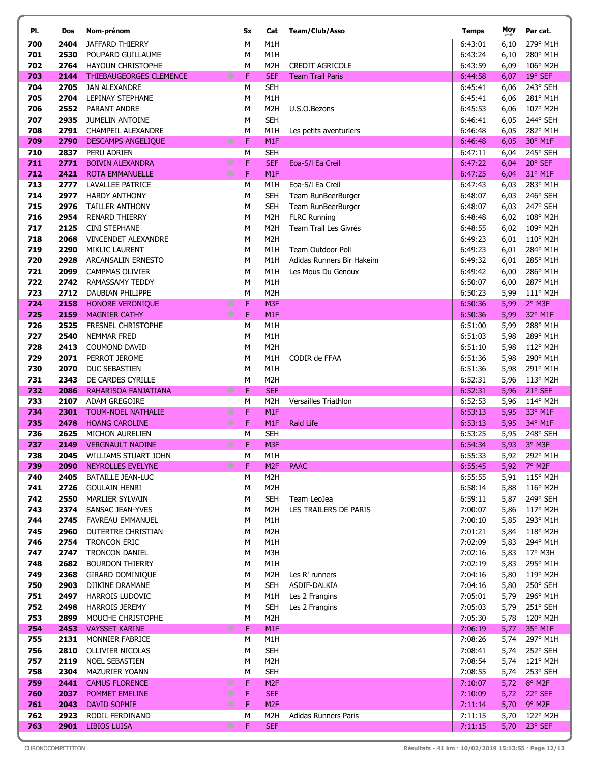| PI.        | Dos          | Nom-prénom                                                    | Sx        | Cat                            | Team/Club/Asso            | <b>Temps</b>       | Moy<br>km/h  | Par cat.             |
|------------|--------------|---------------------------------------------------------------|-----------|--------------------------------|---------------------------|--------------------|--------------|----------------------|
| 700        | 2404         | JAFFARD THIERRY                                               | М         | M1H                            |                           | 6:43:01            | 6,10         | 279° M1H             |
| 701        | 2530         | POUPARD GUILLAUME                                             | М         | M1H                            |                           | 6:43:24            | 6,10         | 280° M1H             |
| 702        | 2764         | <b>HAYOUN CHRISTOPHE</b>                                      | М         | M <sub>2</sub> H               | <b>CREDIT AGRICOLE</b>    | 6:43:59            | 6,09         | 106° M2H             |
| 703        | 2144         | $*$<br><b>THIEBAUGEORGES CLEMENCE</b>                         | F         | <b>SEF</b>                     | <b>Team Trail Paris</b>   | 6:44:58            | 6,07         | 19° SEF              |
| 704        | 2705         | <b>JAN ALEXANDRE</b>                                          | М         | <b>SEH</b>                     |                           | 6:45:41            | 6,06         | 243° SEH             |
| 705        | 2704         | LEPINAY STEPHANE                                              | М         | M1H                            |                           | 6:45:41            | 6,06         | 281° M1H             |
| 706        | 2552         | PARANT ANDRE                                                  | М         | M <sub>2</sub> H               | U.S.O.Bezons              | 6:45:53            | 6,06         | 107° M2H             |
| 707        | 2935         | <b>JUMELIN ANTOINE</b>                                        | М         | <b>SEH</b>                     |                           | 6:46:41            | 6,05         | 244° SEH             |
| 708<br>709 | 2791<br>2790 | <b>CHAMPEIL ALEXANDRE</b><br>$*$<br><b>DESCAMPS ANGELIQUE</b> | M<br>F    | M1H<br>M <sub>1F</sub>         | Les petits aventuriers    | 6:46:48<br>6:46:48 | 6,05<br>6,05 | 282° M1H<br>30° M1F  |
| 710        | 2837         | PERU ADRIEN                                                   | M         | <b>SEH</b>                     |                           | 6:47:11            | 6,04         | 245° SEH             |
| 711        | 2771         | ∗<br><b>BOIVIN ALEXANDRA</b>                                  | F         | <b>SEF</b>                     | Eoa-S/I Ea Creil          | 6:47:22            | 6,04         | 20° SEF              |
| 712        | 2421         | $\frac{1}{2}$<br><b>ROTA EMMANUELLE</b>                       | F         | M1F                            |                           | 6:47:25            | 6,04         | 31° M1F              |
| 713        | 2777         | <b>LAVALLEE PATRICE</b>                                       | М         | M1H                            | Eoa-S/I Ea Creil          | 6:47:43            | 6,03         | 283° M1H             |
| 714        | 2977         | <b>HARDY ANTHONY</b>                                          | М         | <b>SEH</b>                     | Team RunBeerBurger        | 6:48:07            | 6,03         | 246° SEH             |
| 715        | 2976         | <b>TAILLER ANTHONY</b>                                        | М         | <b>SEH</b>                     | Team RunBeerBurger        | 6:48:07            | 6,03         | 247° SEH             |
| 716        | 2954         | <b>RENARD THIERRY</b>                                         | М         | M <sub>2</sub> H               | <b>FLRC Running</b>       | 6:48:48            | 6,02         | 108° M2H             |
| 717        | 2125         | <b>CINI STEPHANE</b>                                          | М         | M <sub>2</sub> H               | Team Trail Les Givrés     | 6:48:55            | 6,02         | 109° M2H             |
| 718        | 2068         | VINCENDET ALEXANDRE                                           | М         | M <sub>2</sub> H               |                           | 6:49:23            | 6,01         | 110° M2H             |
| 719        | 2290         | MIKLIC LAURENT                                                | М         | M1H                            | Team Outdoor Poli         | 6:49:23            | 6,01         | 284° M1H             |
| 720        | 2928         | ARCANSALIN ERNESTO                                            | М         | M1H                            | Adidas Runners Bir Hakeim | 6:49:32            | 6,01         | 285° M1H             |
| 721<br>722 | 2099<br>2742 | <b>CAMPMAS OLIVIER</b>                                        | М         | M1H<br>M1H                     | Les Mous Du Genoux        | 6:49:42<br>6:50:07 | 6,00         | 286° M1H<br>287° M1H |
| 723        | 2712         | RAMASSAMY TEDDY<br>DAUBIAN PHILIPPE                           | М<br>М    | M <sub>2</sub> H               |                           | 6:50:23            | 6,00<br>5,99 | 111° M2H             |
| 724        | 2158         | ∗<br>HONORE VERONIQUE                                         | F         | M3F                            |                           | 6:50:36            | 5,99         | 2° M3F               |
| 725        | 2159         | ∗<br><b>MAGNIER CATHY</b>                                     | F         | M1F                            |                           | 6:50:36            | 5,99         | 32° M1F              |
| 726        | 2525         | FRESNEL CHRISTOPHE                                            | M         | M1H                            |                           | 6:51:00            | 5,99         | 288° M1H             |
| 727        | 2540         | <b>NEMMAR FRED</b>                                            | М         | M1H                            |                           | 6:51:03            | 5,98         | 289° M1H             |
| 728        | 2413         | COUMOND DAVID                                                 | М         | M <sub>2</sub> H               |                           | 6:51:10            | 5,98         | 112° M2H             |
| 729        | 2071         | PERROT JEROME                                                 | М         | M1H                            | CODIR de FFAA             | 6:51:36            | 5,98         | 290° M1H             |
| 730        | 2070         | DUC SEBASTIEN                                                 | М         | M1H                            |                           | 6:51:36            | 5,98         | 291° M1H             |
| 731        | 2343         | DE CARDES CYRILLE                                             | М         | M <sub>2</sub> H               |                           | 6:52:31            | 5,96         | 113° M2H             |
| 732<br>733 | 2086<br>2107 | ∗<br>RAHARISOA FANJATIANA<br><b>ADAM GREGOIRE</b>             | F<br>М    | <b>SEF</b><br>M <sub>2</sub> H | Versailles Triathlon      | 6:52:31<br>6:52:53 | 5,96<br>5,96 | 21° SEF<br>114° M2H  |
| 734        | 2301         | ∗<br><b>TOUM-NOEL NATHALIE</b>                                | F         | M <sub>1F</sub>                |                           | 6:53:13            | 5,95         | 33° M1F              |
| 735        | 2478         | $*$<br><b>HOANG CAROLINE</b>                                  | F         | M <sub>1F</sub>                | <b>Raid Life</b>          | 6:53:13            | 5,95         | 34° M1F              |
| 736        | 2625         | MICHON AURELIEN                                               | ${\sf M}$ | <b>SEH</b>                     |                           | 6:53:25            | 5,95         | 248° SEH             |
| 737        | 2149         | $*$<br><b>VERGNAULT NADINE</b>                                | F         | M3F                            |                           | 6:54:34            | 5,93         | 3° M3F               |
| 738        |              | 2045 WILLIAMS STUART JOHN                                     | М         | M1H                            |                           | 6:55:33            |              | 5,92 292° M1H        |
| 739        | 2090         | ∗<br>NEYROLLES EVELYNE                                        | F         | M <sub>2F</sub>                | <b>PAAC</b>               | 6:55:45            | 5,92         | 7° M2F               |
| 740        | 2405         | <b>BATAILLE JEAN-LUC</b>                                      | М         | M <sub>2</sub> H               |                           | 6:55:55            | 5,91         | 115° M2H             |
| 741<br>742 | 2726<br>2550 | <b>GOULAIN HENRI</b><br>MARLIER SYLVAIN                       | М<br>М    | M <sub>2</sub> H<br><b>SEH</b> | Team LeoJea               | 6:58:14<br>6:59:11 | 5,88         | 116° M2H             |
| 743        | 2374         | SANSAC JEAN-YVES                                              |           | M <sub>2</sub> H               | LES TRAILERS DE PARIS     | 7:00:07            | 5,87<br>5,86 | 249° SEH<br>117° M2H |
| 744        | 2745         | <b>FAVREAU EMMANUEL</b>                                       | м<br>М    | M1H                            |                           | 7:00:10            | 5,85         | 293° M1H             |
| 745        | 2960         | DUTERTRE CHRISTIAN                                            | м         | M <sub>2</sub> H               |                           | 7:01:21            | 5,84         | 118° M2H             |
| 746        | 2754         | TRONCON ERIC                                                  | М         | M1H                            |                           | 7:02:09            | 5,83         | 294° M1H             |
| 747        | 2747         | <b>TRONCON DANIEL</b>                                         | М         | M3H                            |                           | 7:02:16            | 5,83         | 17° M3H              |
| 748        | 2682         | <b>BOURDON THIERRY</b>                                        | м         | M1H                            |                           | 7:02:19            | 5,83         | 295° M1H             |
| 749        | 2368         | <b>GIRARD DOMINIQUE</b>                                       | м         | M <sub>2</sub> H               | Les R' runners            | 7:04:16            | 5,80         | 119° M2H             |
| 750        | 2903         | DJIKINE DRAMANE                                               | М         | <b>SEH</b>                     | ASDIF-DALKIA              | 7:04:16            | 5,80         | 250° SEH             |
| 751        | 2497         | <b>HARROIS LUDOVIC</b>                                        | м         | M1H                            | Les 2 Frangins            | 7:05:01            | 5,79         | 296° M1H             |
| 752        | 2498         | <b>HARROIS JEREMY</b>                                         | м         | <b>SEH</b>                     | Les 2 Frangins            | 7:05:03            | 5,79         | 251° SEH             |
| 753        | 2899         | MOUCHE CHRISTOPHE                                             | М         | M <sub>2</sub> H               |                           | 7:05:30            | 5,78         | 120° M2H             |
| 754<br>755 | 2453<br>2131 | ∗<br><b>VAYSSET KARINE</b><br>MONNIER FABRICE                 | F<br>М    | M <sub>1F</sub><br>M1H         |                           | 7:06:19<br>7:08:26 | 5,77<br>5,74 | 35° M1F<br>297° M1H  |
| 756        | 2810         | OLLIVIER NICOLAS                                              | м         | <b>SEH</b>                     |                           | 7:08:41            | 5,74         | 252° SEH             |
| 757        | 2119         | NOEL SEBASTIEN                                                | М         | M <sub>2</sub> H               |                           | 7:08:54            | 5,74         | 121° M2H             |
| 758        | 2304         | MAZURIER YOANN                                                | М         | <b>SEH</b>                     |                           | 7:08:55            | 5,74         | 253° SEH             |
| 759        | 2441         | ∗<br><b>CAMUS FLORENCE</b>                                    | F         | M <sub>2F</sub>                |                           | 7:10:07            | 5,72         | 8° M2F               |
| 760        | 2037         | ∗<br>POMMET EMELINE                                           | F.        | <b>SEF</b>                     |                           | 7:10:09            | 5,72         | 22° SEF              |
| 761        | 2043         | ∗<br>DAVID SOPHIE                                             | F         | M <sub>2F</sub>                |                           | 7:11:14            | 5,70         | $9°$ M2F             |
| 762        | 2923         | RODIL FERDINAND                                               | М         | M <sub>2</sub> H               | Adidas Runners Paris      | 7:11:15            | 5,70         | 122° M2H             |
| 763        | 2901         | $\ast$<br>LIBIOS LUISA                                        | F         | <b>SEF</b>                     |                           | 7:11:15            | 5,70         | 23° SEF              |